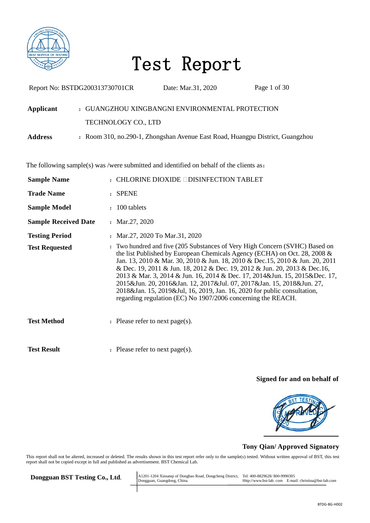

| Report No: BSTDG200313730701CR |                     | Date: Mar.31, 2020                                                                      | Page 1 of 30                                                                                                                                                                                                                                                                                                                                                                                                                                                                                                                                               |
|--------------------------------|---------------------|-----------------------------------------------------------------------------------------|------------------------------------------------------------------------------------------------------------------------------------------------------------------------------------------------------------------------------------------------------------------------------------------------------------------------------------------------------------------------------------------------------------------------------------------------------------------------------------------------------------------------------------------------------------|
| Applicant                      |                     | : GUANGZHOU XINGBANGNI ENVIRONMENTAL PROTECTION                                         |                                                                                                                                                                                                                                                                                                                                                                                                                                                                                                                                                            |
|                                | TECHNOLOGY CO., LTD |                                                                                         |                                                                                                                                                                                                                                                                                                                                                                                                                                                                                                                                                            |
| <b>Address</b>                 |                     |                                                                                         | : Room 310, no.290-1, Zhongshan Avenue East Road, Huangpu District, Guangzhou                                                                                                                                                                                                                                                                                                                                                                                                                                                                              |
|                                |                     | The following sample(s) was /were submitted and identified on behalf of the clients as: |                                                                                                                                                                                                                                                                                                                                                                                                                                                                                                                                                            |
| <b>Sample Name</b>             |                     | $:$ CHLORINE DIOXIDE $\Box$ DISINFECTION TABLET                                         |                                                                                                                                                                                                                                                                                                                                                                                                                                                                                                                                                            |
| <b>Trade Name</b>              | : SPENE             |                                                                                         |                                                                                                                                                                                                                                                                                                                                                                                                                                                                                                                                                            |
| <b>Sample Model</b>            | : 100 tablets       |                                                                                         |                                                                                                                                                                                                                                                                                                                                                                                                                                                                                                                                                            |
| <b>Sample Received Date</b>    | : Mar.27, 2020      |                                                                                         |                                                                                                                                                                                                                                                                                                                                                                                                                                                                                                                                                            |
| <b>Testing Period</b>          |                     | : Mar.27, 2020 To Mar.31, 2020                                                          |                                                                                                                                                                                                                                                                                                                                                                                                                                                                                                                                                            |
| <b>Test Requested</b>          |                     | regarding regulation (EC) No 1907/2006 concerning the REACH.                            | : Two hundred and five (205 Substances of Very High Concern (SVHC) Based on<br>the list Published by European Chemicals Agency (ECHA) on Oct. 28, 2008 &<br>Jan. 13, 2010 & Mar. 30, 2010 & Jun. 18, 2010 & Dec. 15, 2010 & Jun. 20, 2011<br>& Dec. 19, 2011 & Jun. 18, 2012 & Dec. 19, 2012 & Jun. 20, 2013 & Dec. 16,<br>2013 & Mar. 3, 2014 & Jun. 16, 2014 & Dec. 17, 2014&Jun. 15, 2015&Dec. 17,<br>2015&Jun. 20, 2016&Jan. 12, 2017&Jul. 07, 2017&Jan. 15, 2018&Jun. 27,<br>2018&Jan. 15, 2019&Jul, 16, 2019, Jan. 16, 2020 for public consultation, |
| <b>Test Method</b>             |                     | : Please refer to next page(s).                                                         |                                                                                                                                                                                                                                                                                                                                                                                                                                                                                                                                                            |
| <b>Test Result</b>             |                     | : Please refer to next page(s).                                                         |                                                                                                                                                                                                                                                                                                                                                                                                                                                                                                                                                            |

#### **Signed for and on behalf of**



#### **Tony Qian/ Approved Signatory**

This report shall not be altered, increased or deleted. The results shown in this test report refer only to the sample(s) tested. Without written approval of BST, this test report shall not be copied except in full and published as advertisement. BST Chemical Lab.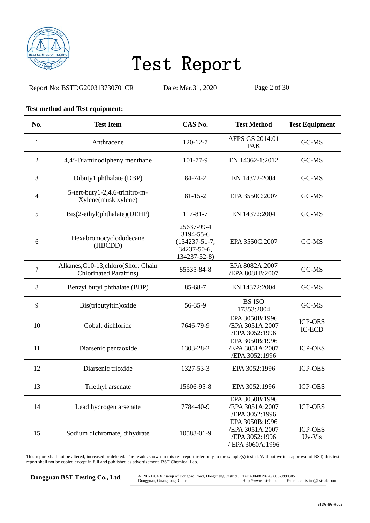

Report No: BSTDG200313730701CR Date: Mar.31, 2020 Page 2 of 30

#### **Test method and Test equipment:**

| No.            | <b>Test Item</b>                                                      | CAS No.                                                                       | <b>Test Method</b>                                                    | <b>Test Equipment</b>           |
|----------------|-----------------------------------------------------------------------|-------------------------------------------------------------------------------|-----------------------------------------------------------------------|---------------------------------|
| 1              | Anthracene                                                            | $120 - 12 - 7$                                                                | AFPS GS 2014:01<br><b>PAK</b>                                         | GC-MS                           |
| $\overline{2}$ | 4,4'-Diaminodiphenylmenthane                                          | 101-77-9                                                                      | EN 14362-1:2012                                                       | GC-MS                           |
| 3              | Dibuty1 phthalate (DBP)                                               | 84-74-2                                                                       | EN 14372-2004                                                         | GC-MS                           |
| $\overline{4}$ | 5-tert-buty1-2,4,6-trinitro-m-<br>Xylene(musk xylene)                 | $81 - 15 - 2$                                                                 | EPA 3550C:2007                                                        | GC-MS                           |
| 5              | Bis(2-ethyl(phthalate)(DEHP)                                          | 117-81-7                                                                      | EN 14372:2004                                                         | GC-MS                           |
| 6              | Hexabromocyclododecane<br>(HBCDD)                                     | 25637-99-4<br>3194-55-6<br>$(134237 - 51 - 7,$<br>34237-50-6,<br>134237-52-8) | EPA 3550C:2007                                                        | GC-MS                           |
| $\overline{7}$ | Alkanes, C10-13, chloro(Short Chain<br><b>Chlorinated Paraffins</b> ) | 85535-84-8                                                                    | EPA 8082A:2007<br>/EPA 8081B:2007                                     | GC-MS                           |
| 8              | Benzyl butyl phthalate (BBP)                                          | 85-68-7                                                                       | EN 14372:2004                                                         | GC-MS                           |
| 9              | Bis(tributyltin) oxide                                                | 56-35-9                                                                       | <b>BS ISO</b><br>17353:2004                                           | GC-MS                           |
| 10             | Cobalt dichloride                                                     | 7646-79-9                                                                     | EPA 3050B:1996<br>/EPA 3051A:2007<br>/EPA 3052:1996                   | <b>ICP-OES</b><br><b>IC-ECD</b> |
| 11             | Diarsenic pentaoxide                                                  | 1303-28-2                                                                     | EPA 3050B:1996<br>/EPA 3051A:2007<br>/EPA 3052:1996                   | <b>ICP-OES</b>                  |
| 12             | Diarsenic trioxide                                                    | 1327-53-3                                                                     | EPA 3052:1996                                                         | <b>ICP-OES</b>                  |
| 13             | Triethyl arsenate                                                     | 15606-95-8                                                                    | EPA 3052:1996                                                         | <b>ICP-OES</b>                  |
| 14             | Lead hydrogen arsenate                                                | 7784-40-9                                                                     | EPA 3050B:1996<br>/EPA 3051A:2007<br>/EPA 3052:1996                   | <b>ICP-OES</b>                  |
| 15             | Sodium dichromate, dihydrate                                          | 10588-01-9                                                                    | EPA 3050B:1996<br>/EPA 3051A:2007<br>/EPA 3052:1996<br>EPA 3060A:1996 | <b>ICP-OES</b><br>Uv-Vis        |

This report shall not be altered, increased or deleted. The results shown in this test report refer only to the sample(s) tested. Without written approval of BST, this test report shall not be copied except in full and published as advertisement. BST Chemical Lab.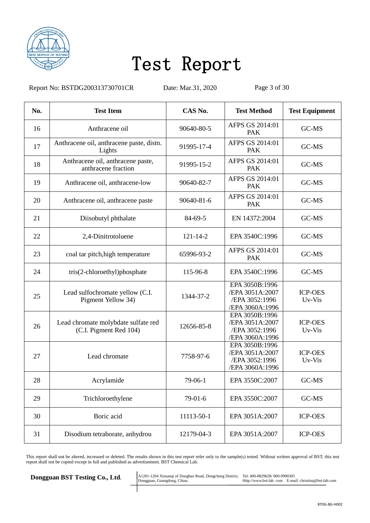

Report No: BSTDG200313730701CR Date: Mar.31, 2020 Page 3 of 30

| No. | <b>Test Item</b>                                              | CAS No.        | <b>Test Method</b>                                                     | <b>Test Equipment</b>    |
|-----|---------------------------------------------------------------|----------------|------------------------------------------------------------------------|--------------------------|
| 16  | Anthracene oil                                                | 90640-80-5     | AFPS GS 2014:01<br>PAK                                                 | GC-MS                    |
| 17  | Anthracene oil, anthracene paste, distn.<br>Lights            | 91995-17-4     | AFPS GS 2014:01<br><b>PAK</b>                                          | GC-MS                    |
| 18  | Anthracene oil, anthracene paste,<br>anthracene fraction      | 91995-15-2     | AFPS GS 2014:01<br><b>PAK</b>                                          | GC-MS                    |
| 19  | Anthracene oil, anthracene-low                                | 90640-82-7     | AFPS GS 2014:01<br><b>PAK</b>                                          | GC-MS                    |
| 20  | Anthracene oil, anthracene paste                              | 90640-81-6     | AFPS GS 2014:01<br>PAK                                                 | GC-MS                    |
| 21  | Diisobutyl phthalate                                          | 84-69-5        | EN 14372:2004                                                          | GC-MS                    |
| 22  | 2,4-Dinitrotoluene                                            | $121 - 14 - 2$ | EPA 3540C:1996                                                         | GC-MS                    |
| 23  | coal tar pitch, high temperature                              | 65996-93-2     | AFPS GS 2014:01<br><b>PAK</b>                                          | GC-MS                    |
| 24  | tris(2-chloroethyl)phosphate                                  | 115-96-8       | EPA 3540C:1996                                                         | GC-MS                    |
| 25  | Lead sulfochromate yellow (C.I.<br>Pigment Yellow 34)         | 1344-37-2      | EPA 3050B:1996<br>/EPA 3051A:2007<br>/EPA 3052:1996<br>/EPA 3060A:1996 | <b>ICP-OES</b><br>Uv-Vis |
| 26  | Lead chromate molybdate sulfate red<br>(C.I. Pigment Red 104) | 12656-85-8     | EPA 3050B:1996<br>/EPA 3051A:2007<br>/EPA 3052:1996<br>/EPA 3060A:1996 | <b>ICP-OES</b><br>Uv-Vis |
| 27  | Lead chromate                                                 | 7758-97-6      | EPA 3050B:1996<br>/EPA 3051A:2007<br>/EPA 3052:1996<br>/EPA 3060A:1996 | <b>ICP-OES</b><br>Uv-Vis |
| 28  | Acrylamide                                                    | 79-06-1        | EPA 3550C:2007                                                         | GC-MS                    |
| 29  | Trichloroethylene                                             | $79-01-6$      | EPA 3550C:2007                                                         | GC-MS                    |
| 30  | Boric acid                                                    | 11113-50-1     | EPA 3051A:2007                                                         | <b>ICP-OES</b>           |
| 31  | Disodium tetraborate, anhydrou                                | 12179-04-3     | EPA 3051A:2007                                                         | <b>ICP-OES</b>           |

This report shall not be altered, increased or deleted. The results shown in this test report refer only to the sample(s) tested. Without written approval of BST, this test report shall not be copied except in full and published as advertisement. BST Chemical Lab.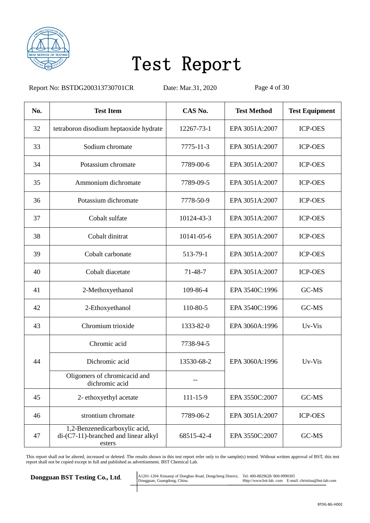

Report No: BSTDG200313730701CR Date: Mar.31, 2020 Page 4 of 30

| No. | <b>Test Item</b>                                                                       | CAS No.        | <b>Test Method</b> | <b>Test Equipment</b> |
|-----|----------------------------------------------------------------------------------------|----------------|--------------------|-----------------------|
| 32  | tetraboron disodium heptaoxide hydrate                                                 | 12267-73-1     | EPA 3051A:2007     | <b>ICP-OES</b>        |
| 33  | Sodium chromate                                                                        | 7775-11-3      | EPA 3051A:2007     | <b>ICP-OES</b>        |
| 34  | Potassium chromate                                                                     | 7789-00-6      | EPA 3051A:2007     | <b>ICP-OES</b>        |
| 35  | Ammonium dichromate                                                                    | 7789-09-5      | EPA 3051A:2007     | <b>ICP-OES</b>        |
| 36  | Potassium dichromate                                                                   | 7778-50-9      | EPA 3051A:2007     | <b>ICP-OES</b>        |
| 37  | Cobalt sulfate                                                                         | 10124-43-3     | EPA 3051A:2007     | <b>ICP-OES</b>        |
| 38  | Cobalt dinitrat                                                                        | 10141-05-6     | EPA 3051A:2007     | <b>ICP-OES</b>        |
| 39  | Cobalt carbonate                                                                       | 513-79-1       | EPA 3051A:2007     | <b>ICP-OES</b>        |
| 40  | Cobalt diacetate                                                                       | 71-48-7        | EPA 3051A:2007     | <b>ICP-OES</b>        |
| 41  | 2-Methoxyethanol                                                                       | 109-86-4       | EPA 3540C:1996     | GC-MS                 |
| 42  | 2-Ethoxyethanol                                                                        | 110-80-5       | EPA 3540C:1996     | GC-MS                 |
| 43  | Chromium trioxide                                                                      | 1333-82-0      | EPA 3060A:1996     | Uv-Vis                |
|     | Chromic acid                                                                           | 7738-94-5      |                    |                       |
| 44  | Dichromic acid                                                                         | 13530-68-2     | EPA 3060A:1996     | Uv-Vis                |
|     | Oligomers of chromicacid and<br>dichromic acid                                         |                |                    |                       |
| 45  | 2- ethoxyethyl acetate                                                                 | $111 - 15 - 9$ | EPA 3550C:2007     | GC-MS                 |
| 46  | strontium chromate                                                                     | 7789-06-2      | EPA 3051A:2007     | <b>ICP-OES</b>        |
| 47  | 1,2-Benzenedicarboxylic acid,<br>$di$ - $(C7-11)$ -branched and linear alkyl<br>esters | 68515-42-4     | EPA 3550C:2007     | GC-MS                 |

This report shall not be altered, increased or deleted. The results shown in this test report refer only to the sample(s) tested. Without written approval of BST, this test report shall not be copied except in full and published as advertisement. BST Chemical Lab.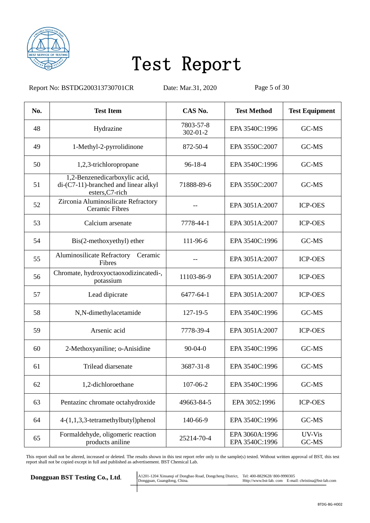

Report No: BSTDG200313730701CR Date: Mar.31, 2020 Page 5 of 30

| No. | <b>Test Item</b>                                                                         | CAS No.                     | <b>Test Method</b>               | <b>Test Equipment</b> |
|-----|------------------------------------------------------------------------------------------|-----------------------------|----------------------------------|-----------------------|
| 48  | Hydrazine                                                                                | 7803-57-8<br>$302 - 01 - 2$ | EPA 3540C:1996                   | GC-MS                 |
| 49  | 1-Methyl-2-pyrrolidinone                                                                 | 872-50-4                    | EPA 3550C:2007                   | GC-MS                 |
| 50  | 1,2,3-trichloropropane                                                                   | $96-18-4$                   | EPA 3540C:1996                   | GC-MS                 |
| 51  | 1,2-Benzenedicarboxylic acid,<br>di-(C7-11)-branched and linear alkyl<br>esters, C7-rich | 71888-89-6                  | EPA 3550C:2007                   | GC-MS                 |
| 52  | Zirconia Aluminosilicate Refractory<br><b>Ceramic Fibres</b>                             |                             | EPA 3051A:2007                   | <b>ICP-OES</b>        |
| 53  | Calcium arsenate                                                                         | 7778-44-1                   | EPA 3051A:2007                   | <b>ICP-OES</b>        |
| 54  | Bis(2-methoxyethyl) ether                                                                | 111-96-6                    | EPA 3540C:1996                   | GC-MS                 |
| 55  | <b>Aluminosilicate Refractory</b><br>Ceramic<br>Fibres                                   |                             | EPA 3051A:2007                   | <b>ICP-OES</b>        |
| 56  | Chromate, hydroxyoctaoxodizincatedi-,<br>potassium                                       | 11103-86-9                  | EPA 3051A:2007                   | <b>ICP-OES</b>        |
| 57  | Lead dipicrate                                                                           | 6477-64-1                   | EPA 3051A:2007                   | <b>ICP-OES</b>        |
| 58  | N,N-dimethylacetamide                                                                    | 127-19-5                    | EPA 3540C:1996                   | GC-MS                 |
| 59  | Arsenic acid                                                                             | 7778-39-4                   | EPA 3051A:2007                   | <b>ICP-OES</b>        |
| 60  | 2-Methoxyaniline; o-Anisidine                                                            | $90-04-0$                   | EPA 3540C:1996                   | GC-MS                 |
| 61  | Trilead diarsenate                                                                       | 3687-31-8                   | EPA 3540C:1996                   | GC-MS                 |
| 62  | 1,2-dichloroethane                                                                       | 107-06-2                    | EPA 3540C:1996                   | GC-MS                 |
| 63  | Pentazinc chromate octahydroxide                                                         | 49663-84-5                  | EPA 3052:1996                    | <b>ICP-OES</b>        |
| 64  | 4-(1,1,3,3-tetramethylbutyl)phenol                                                       | 140-66-9                    | EPA 3540C:1996                   | GC-MS                 |
| 65  | Formaldehyde, oligomeric reaction<br>products aniline                                    | 25214-70-4                  | EPA 3060A:1996<br>EPA 3540C:1996 | UV-Vis<br>GC-MS       |

This report shall not be altered, increased or deleted. The results shown in this test report refer only to the sample(s) tested. Without written approval of BST, this test report shall not be copied except in full and published as advertisement. BST Chemical Lab.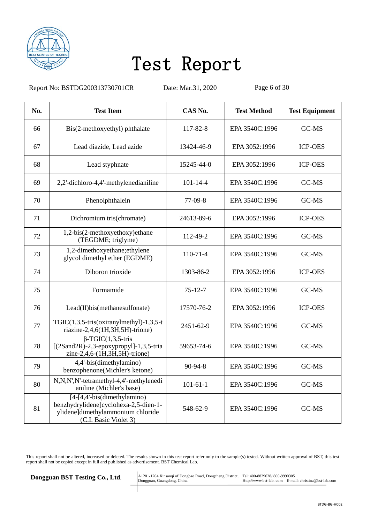

Report No: BSTDG200313730701CR Date: Mar.31, 2020 Page 6 of 30

| No. | <b>Test Item</b>                                                                                                                      | CAS No.        | <b>Test Method</b> | <b>Test Equipment</b> |
|-----|---------------------------------------------------------------------------------------------------------------------------------------|----------------|--------------------|-----------------------|
| 66  | Bis(2-methoxyethyl) phthalate                                                                                                         | 117-82-8       | EPA 3540C:1996     | GC-MS                 |
| 67  | Lead diazide, Lead azide                                                                                                              | 13424-46-9     | EPA 3052:1996      | <b>ICP-OES</b>        |
| 68  | Lead styphnate                                                                                                                        | 15245-44-0     | EPA 3052:1996      | <b>ICP-OES</b>        |
| 69  | 2,2'-dichloro-4,4'-methylenedianiline                                                                                                 | $101 - 14 - 4$ | EPA 3540C:1996     | GC-MS                 |
| 70  | Phenolphthalein                                                                                                                       | 77-09-8        | EPA 3540C:1996     | GC-MS                 |
| 71  | Dichromium tris(chromate)                                                                                                             | 24613-89-6     | EPA 3052:1996      | <b>ICP-OES</b>        |
| 72  | 1,2-bis(2-methoxyethoxy)ethane<br>(TEGDME; triglyme)                                                                                  | 112-49-2       | EPA 3540C:1996     | GC-MS                 |
| 73  | 1,2-dimethoxyethane;ethylene<br>glycol dimethyl ether (EGDME)                                                                         | $110 - 71 - 4$ | EPA 3540C:1996     | GC-MS                 |
| 74  | Diboron trioxide                                                                                                                      | 1303-86-2      | EPA 3052:1996      | <b>ICP-OES</b>        |
| 75  | Formamide                                                                                                                             | 75-12-7        | EPA 3540C:1996     | GC-MS                 |
| 76  | Lead(II)bis(methanesulfonate)                                                                                                         | 17570-76-2     | EPA 3052:1996      | <b>ICP-OES</b>        |
| 77  | TGIC $(1,3,5$ -tris $(oxiranylmethyl)-1,3,5-t$<br>riazine-2,4,6(1H,3H,5H)-trione)                                                     | 2451-62-9      | EPA 3540C:1996     | GC-MS                 |
| 78  | $\overline{\beta}$ -TGIC(1,3,5-tris<br>$[(2Sand2R)-2,3-epoxypropyl]-1,3,5-tria]$<br>zine-2,4,6-(1H,3H,5H)-trione)                     | 59653-74-6     | EPA 3540C:1996     | GC-MS                 |
| 79  | 4,4'-bis(dimethylamino)<br>benzophenone(Michler's ketone)                                                                             | 90-94-8        | EPA 3540C:1996     | GC-MS                 |
| 80  | N,N,N',N'-tetramethyl-4,4'-methylenedi<br>aniline (Michler's base)                                                                    | $101 - 61 - 1$ | EPA 3540C:1996     | GC-MS                 |
| 81  | $[4-[4,4]-bis$ (dimethylamino)<br>benzhydrylidene]cyclohexa-2,5-dien-1-<br>ylidene]dimethylammonium chloride<br>(C.I. Basic Violet 3) | 548-62-9       | EPA 3540C:1996     | GC-MS                 |

This report shall not be altered, increased or deleted. The results shown in this test report refer only to the sample(s) tested. Without written approval of BST, this test report shall not be copied except in full and published as advertisement. BST Chemical Lab.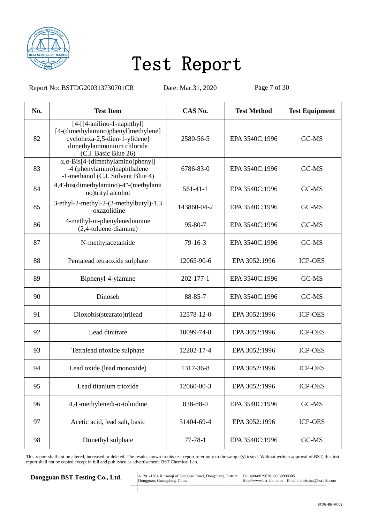

Report No: BSTDG200313730701CR Date: Mar.31, 2020 Page 7 of 30

| No. | <b>Test Item</b>                                                                                                                                          | CAS No.       | <b>Test Method</b> | <b>Test Equipment</b> |
|-----|-----------------------------------------------------------------------------------------------------------------------------------------------------------|---------------|--------------------|-----------------------|
| 82  | $[4-[14-anilino-1-naphthyl]$<br>[4-(dimethylamino)phenyl]methylene]<br>cyclohexa-2,5-dien-1-ylidene]<br>dimethylammonium chloride<br>(C.I. Basic Blue 26) | 2580-56-5     | EPA 3540C:1996     | GC-MS                 |
| 83  | $\alpha$ , $\alpha$ -Bis[4-(dimethylamino)phenyl]<br>-4 (phenylamino)naphthalene<br>-1-methanol (C.I. Solvent Blue 4)                                     | 6786-83-0     | EPA 3540C:1996     | GC-MS                 |
| 84  | 4,4'-bis(dimethylamino)-4"-(methylami<br>no)trityl alcohol                                                                                                | $561-41-1$    | EPA 3540C:1996     | GC-MS                 |
| 85  | 3-ethyl-2-methyl-2-(3-methylbutyl)-1,3<br>-oxazolidine                                                                                                    | 143860-04-2   | EPA 3540C:1996     | GC-MS                 |
| 86  | 4-methyl-m-phenylenediamine<br>(2,4-toluene-diamine)                                                                                                      | $95 - 80 - 7$ | EPA 3540C:1996     | GC-MS                 |
| 87  | N-methylacetamide                                                                                                                                         | $79-16-3$     | EPA 3540C:1996     | GC-MS                 |
| 88  | Pentalead tetraoxide sulphate                                                                                                                             | 12065-90-6    | EPA 3052:1996      | <b>ICP-OES</b>        |
| 89  | Biphenyl-4-ylamine                                                                                                                                        | 202-177-1     | EPA 3540C:1996     | GC-MS                 |
| 90  | Dinoseb                                                                                                                                                   | 88-85-7       | EPA 3540C:1996     | GC-MS                 |
| 91  | Dioxobis(stearato)trilead                                                                                                                                 | 12578-12-0    | EPA 3052:1996      | <b>ICP-OES</b>        |
| 92  | Lead dinitrate                                                                                                                                            | 10099-74-8    | EPA 3052:1996      | <b>ICP-OES</b>        |
| 93  | Tetralead trioxide sulphate                                                                                                                               | 12202-17-4    | EPA 3052:1996      | <b>ICP-OES</b>        |
| 94  | Lead oxide (lead monoxide)                                                                                                                                | 1317-36-8     | EPA 3052:1996      | <b>ICP-OES</b>        |
| 95  | Lead titanium trioxide                                                                                                                                    | 12060-00-3    | EPA 3052:1996      | <b>ICP-OES</b>        |
| 96  | 4,4'-methylenedi-o-toluidine                                                                                                                              | 838-88-0      | EPA 3540C:1996     | GC-MS                 |
| 97  | Acetic acid, lead salt, basic                                                                                                                             | 51404-69-4    | EPA 3052:1996      | <b>ICP-OES</b>        |
| 98  | Dimethyl sulphate                                                                                                                                         | $77 - 78 - 1$ | EPA 3540C:1996     | GC-MS                 |

This report shall not be altered, increased or deleted. The results shown in this test report refer only to the sample(s) tested. Without written approval of BST, this test report shall not be copied except in full and published as advertisement. BST Chemical Lab.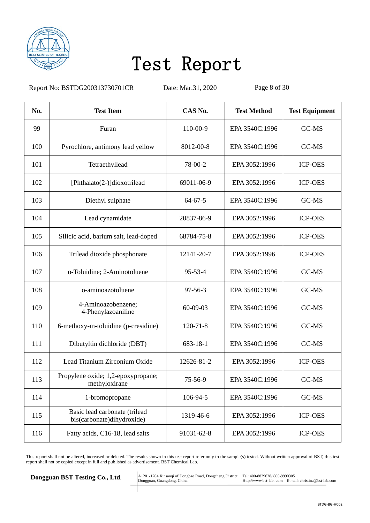

Report No: BSTDG200313730701CR Date: Mar.31, 2020 Page 8 of 30

| No. | <b>Test Item</b>                                            | CAS No.        | <b>Test Method</b> | <b>Test Equipment</b> |
|-----|-------------------------------------------------------------|----------------|--------------------|-----------------------|
| 99  | Furan                                                       | 110-00-9       | EPA 3540C:1996     | GC-MS                 |
| 100 | Pyrochlore, antimony lead yellow                            | 8012-00-8      | EPA 3540C:1996     | GC-MS                 |
| 101 | Tetraethyllead                                              | 78-00-2        | EPA 3052:1996      | <b>ICP-OES</b>        |
| 102 | [Phthalato(2-)]dioxotrilead                                 | 69011-06-9     | EPA 3052:1996      | <b>ICP-OES</b>        |
| 103 | Diethyl sulphate                                            | $64 - 67 - 5$  | EPA 3540C:1996     | GC-MS                 |
| 104 | Lead cynamidate                                             | 20837-86-9     | EPA 3052:1996      | <b>ICP-OES</b>        |
| 105 | Silicic acid, barium salt, lead-doped                       | 68784-75-8     | EPA 3052:1996      | <b>ICP-OES</b>        |
| 106 | Trilead dioxide phosphonate                                 | 12141-20-7     | EPA 3052:1996      | <b>ICP-OES</b>        |
| 107 | o-Toluidine; 2-Aminotoluene                                 | $95 - 53 - 4$  | EPA 3540C:1996     | GC-MS                 |
| 108 | o-aminoazotoluene                                           | $97 - 56 - 3$  | EPA 3540C:1996     | GC-MS                 |
| 109 | 4-Aminoazobenzene;<br>4-Phenylazoaniline                    | 60-09-03       | EPA 3540C:1996     | GC-MS                 |
| 110 | 6-methoxy-m-toluidine (p-cresidine)                         | $120 - 71 - 8$ | EPA 3540C:1996     | GC-MS                 |
| 111 | Dibutyltin dichloride (DBT)                                 | 683-18-1       | EPA 3540C:1996     | GC-MS                 |
| 112 | Lead Titanium Zirconium Oxide                               | 12626-81-2     | EPA 3052:1996      | <b>ICP-OES</b>        |
| 113 | Propylene oxide; 1,2-epoxypropane;<br>methyloxirane         | 75-56-9        | EPA 3540C:1996     | GC-MS                 |
| 114 | 1-bromopropane                                              | 106-94-5       | EPA 3540C:1996     | GC-MS                 |
| 115 | Basic lead carbonate (trilead<br>bis(carbonate)dihydroxide) | 1319-46-6      | EPA 3052:1996      | <b>ICP-OES</b>        |
| 116 | Fatty acids, C16-18, lead salts                             | 91031-62-8     | EPA 3052:1996      | <b>ICP-OES</b>        |

This report shall not be altered, increased or deleted. The results shown in this test report refer only to the sample(s) tested. Without written approval of BST, this test report shall not be copied except in full and published as advertisement. BST Chemical Lab.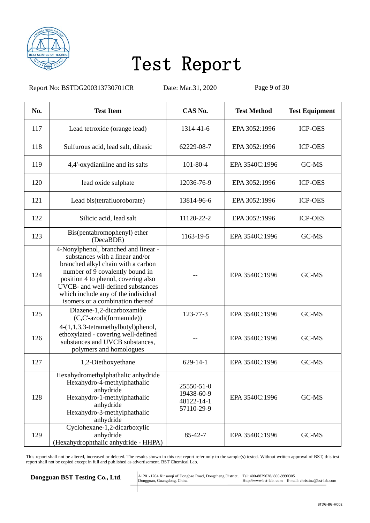

Report No: BSTDG200313730701CR Date: Mar.31, 2020 Page 9 of 30

| No. | <b>Test Item</b>                                                                                                                                                                                                                                                                                        | CAS No.                                              | <b>Test Method</b> | <b>Test Equipment</b> |
|-----|---------------------------------------------------------------------------------------------------------------------------------------------------------------------------------------------------------------------------------------------------------------------------------------------------------|------------------------------------------------------|--------------------|-----------------------|
| 117 | Lead tetroxide (orange lead)                                                                                                                                                                                                                                                                            | 1314-41-6                                            | EPA 3052:1996      | <b>ICP-OES</b>        |
| 118 | Sulfurous acid, lead salt, dibasic                                                                                                                                                                                                                                                                      | 62229-08-7                                           | EPA 3052:1996      | <b>ICP-OES</b>        |
| 119 | 4,4'-oxydianiline and its salts                                                                                                                                                                                                                                                                         | 101-80-4                                             | EPA 3540C:1996     | GC-MS                 |
| 120 | lead oxide sulphate                                                                                                                                                                                                                                                                                     | 12036-76-9                                           | EPA 3052:1996      | <b>ICP-OES</b>        |
| 121 | Lead bis(tetrafluoroborate)                                                                                                                                                                                                                                                                             | 13814-96-6                                           | EPA 3052:1996      | <b>ICP-OES</b>        |
| 122 | Silicic acid, lead salt                                                                                                                                                                                                                                                                                 | 11120-22-2                                           | EPA 3052:1996      | <b>ICP-OES</b>        |
| 123 | Bis(pentabromophenyl) ether<br>(DecaBDE)                                                                                                                                                                                                                                                                | 1163-19-5                                            | EPA 3540C:1996     | GC-MS                 |
| 124 | 4-Nonylphenol, branched and linear -<br>substances with a linear and/or<br>branched alkyl chain with a carbon<br>number of 9 covalently bound in<br>position 4 to phenol, covering also<br>UVCB- and well-defined substances<br>which include any of the individual<br>isomers or a combination thereof |                                                      | EPA 3540C:1996     | GC-MS                 |
| 125 | Diazene-1,2-dicarboxamide<br>(C,C'-azodi(formamide))                                                                                                                                                                                                                                                    | 123-77-3                                             | EPA 3540C:1996     | GC-MS                 |
| 126 | 4-(1,1,3,3-tetramethylbutyl)phenol,<br>ethoxylated - covering well-defined<br>substances and UVCB substances,<br>polymers and homologues                                                                                                                                                                |                                                      | EPA 3540C:1996     | GC-MS                 |
| 127 | 1,2-Diethoxyethane                                                                                                                                                                                                                                                                                      | $629 - 14 - 1$                                       | EPA 3540C:1996     | GC-MS                 |
| 128 | Hexahydromethylphathalic anhydride<br>Hexahydro-4-methylphathalic<br>anhydride<br>Hexahydro-1-methylphathalic<br>anhydride<br>Hexahydro-3-methylphathalic<br>anhydride                                                                                                                                  | 25550-51-0<br>19438-60-9<br>48122-14-1<br>57110-29-9 | EPA 3540C:1996     | GC-MS                 |
| 129 | Cyclohexane-1,2-dicarboxylic<br>anhydride<br>(Hexahydrophthalic anhydride - HHPA)                                                                                                                                                                                                                       | $85 - 42 - 7$                                        | EPA 3540C:1996     | GC-MS                 |

This report shall not be altered, increased or deleted. The results shown in this test report refer only to the sample(s) tested. Without written approval of BST, this test report shall not be copied except in full and published as advertisement. BST Chemical Lab.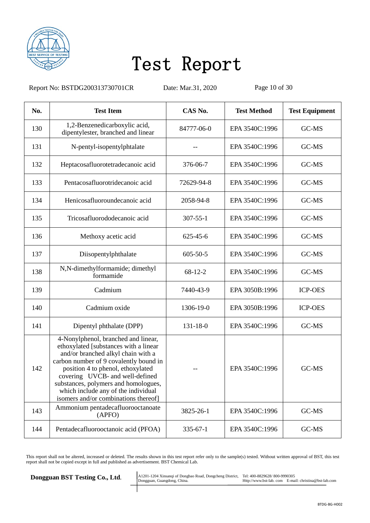

Report No: BSTDG200313730701CR Date: Mar.31, 2020 Page 10 of 30

| No. | <b>Test Item</b>                                                                                                                                                                                                                                                                                                                                            | CAS No.        | <b>Test Method</b> | <b>Test Equipment</b> |
|-----|-------------------------------------------------------------------------------------------------------------------------------------------------------------------------------------------------------------------------------------------------------------------------------------------------------------------------------------------------------------|----------------|--------------------|-----------------------|
| 130 | 1,2-Benzenedicarboxylic acid,<br>dipentylester, branched and linear                                                                                                                                                                                                                                                                                         | 84777-06-0     | EPA 3540C:1996     | GC-MS                 |
| 131 | N-pentyl-isopentylphtalate                                                                                                                                                                                                                                                                                                                                  |                | EPA 3540C:1996     | GC-MS                 |
| 132 | Heptacosafluorotetradecanoic acid                                                                                                                                                                                                                                                                                                                           | 376-06-7       | EPA 3540C:1996     | GC-MS                 |
| 133 | Pentacosafluorotridecanoic acid                                                                                                                                                                                                                                                                                                                             | 72629-94-8     | EPA 3540C:1996     | GC-MS                 |
| 134 | Henicosafluoroundecanoic acid                                                                                                                                                                                                                                                                                                                               | 2058-94-8      | EPA 3540C:1996     | GC-MS                 |
| 135 | Tricosafluorododecanoic acid                                                                                                                                                                                                                                                                                                                                | $307 - 55 - 1$ | EPA 3540C:1996     | GC-MS                 |
| 136 | Methoxy acetic acid                                                                                                                                                                                                                                                                                                                                         | 625-45-6       | EPA 3540C:1996     | GC-MS                 |
| 137 | Diisopentylphthalate                                                                                                                                                                                                                                                                                                                                        | $605 - 50 - 5$ | EPA 3540C:1996     | GC-MS                 |
| 138 | N,N-dimethylformamide; dimethyl<br>formamide                                                                                                                                                                                                                                                                                                                | $68 - 12 - 2$  | EPA 3540C:1996     | GC-MS                 |
| 139 | Cadmium                                                                                                                                                                                                                                                                                                                                                     | 7440-43-9      | EPA 3050B:1996     | <b>ICP-OES</b>        |
| 140 | Cadmium oxide                                                                                                                                                                                                                                                                                                                                               | 1306-19-0      | EPA 3050B:1996     | <b>ICP-OES</b>        |
| 141 | Dipentyl phthalate (DPP)                                                                                                                                                                                                                                                                                                                                    | $131 - 18 - 0$ | EPA 3540C:1996     | GC-MS                 |
| 142 | 4-Nonylphenol, branched and linear,<br>ethoxylated [substances with a linear<br>and/or branched alkyl chain with a<br>carbon number of 9 covalently bound in<br>position 4 to phenol, ethoxylated<br>covering UVCB- and well-defined<br>substances, polymers and homologues,<br>which include any of the individual<br>isomers and/or combinations thereof] |                | EPA 3540C:1996     | GC-MS                 |
| 143 | Ammonium pentadecafluorooctanoate<br>(APFO)                                                                                                                                                                                                                                                                                                                 | 3825-26-1      | EPA 3540C:1996     | GC-MS                 |
| 144 | Pentadecafluorooctanoic acid (PFOA)                                                                                                                                                                                                                                                                                                                         | $335 - 67 - 1$ | EPA 3540C:1996     | GC-MS                 |

This report shall not be altered, increased or deleted. The results shown in this test report refer only to the sample(s) tested. Without written approval of BST, this test report shall not be copied except in full and published as advertisement. BST Chemical Lab.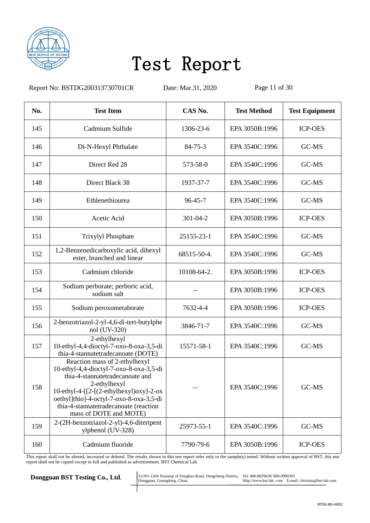

Report No: BSTDG200313730701CR Date: Mar.31, 2020 Page 11 of 30

| No. | <b>Test Item</b>                                                                                                                                                                                                                                                                        | CAS No.        | <b>Test Method</b> | <b>Test Equipment</b> |
|-----|-----------------------------------------------------------------------------------------------------------------------------------------------------------------------------------------------------------------------------------------------------------------------------------------|----------------|--------------------|-----------------------|
| 145 | Cadmium Sulfide                                                                                                                                                                                                                                                                         | 1306-23-6      | EPA 3050B:1996     | <b>ICP-OES</b>        |
| 146 | Di-N-Hexyl Phthalate                                                                                                                                                                                                                                                                    | $84 - 75 - 3$  | EPA 3540C:1996     | GC-MS                 |
| 147 | Direct Red 28                                                                                                                                                                                                                                                                           | 573-58-0       | EPA 3540C:1996     | GC-MS                 |
| 148 | Direct Black 38                                                                                                                                                                                                                                                                         | 1937-37-7      | EPA 3540C:1996     | GC-MS                 |
| 149 | Ethlenethiourea                                                                                                                                                                                                                                                                         | $96 - 45 - 7$  | EPA 3540C:1996     | GC-MS                 |
| 150 | Acetic Acid                                                                                                                                                                                                                                                                             | $301 - 04 - 2$ | EPA 3050B:1996     | <b>ICP-OES</b>        |
| 151 | Trixylyl Phosphate                                                                                                                                                                                                                                                                      | 25155-23-1     | EPA 3540C:1996     | GC-MS                 |
| 152 | 1,2-Benzenedicarboxylic acid, dihexyl<br>ester, branched and linear                                                                                                                                                                                                                     | 68515-50-4.    | EPA 3540C:1996     | GC-MS                 |
| 153 | Cadmium chloride                                                                                                                                                                                                                                                                        | 10108-64-2.    | EPA 3050B:1996     | <b>ICP-OES</b>        |
| 154 | Sodium perborate; perboric acid,<br>sodium salt                                                                                                                                                                                                                                         |                | EPA 3050B:1996     | <b>ICP-OES</b>        |
| 155 | Sodium peroxometaborate                                                                                                                                                                                                                                                                 | 7632-4-4       | EPA 3050B:1996     | <b>ICP-OES</b>        |
| 156 | 2-benzotriazol-2-yl-4,6-di-tert-butylphe<br>nol (UV-320)                                                                                                                                                                                                                                | 3846-71-7      | EPA 3540C:1996     | GC-MS                 |
| 157 | 2-ethylhexyl<br>10-ethyl-4,4-dioctyl-7-oxo-8-oxa-3,5-di<br>thia-4-stannatetradecanoate (DOTE)                                                                                                                                                                                           | 15571-58-1     | EPA 3540C:1996     | GC-MS                 |
| 158 | Reaction mass of 2-ethylhexyl<br>10-ethyl-4,4-dioctyl-7-oxo-8-oxa-3,5-di<br>thia-4-stannatetradecanoate and<br>2-ethylhexyl<br>$10$ -ethyl-4-[[2-[(2-ethylhexyl)oxy]-2-ox<br>oethyl]thio]-4-octyl-7-oxo-8-oxa-3,5-di<br>thia-4-stannatetradecanoate (reaction<br>mass of DOTE and MOTE) |                | EPA 3540C:1996     | GC-MS                 |
| 159 | 2-(2H-benzotriazol-2-yl)-4,6-ditertpent<br>ylphenol (UV-328)                                                                                                                                                                                                                            | 25973-55-1     | EPA 3540C:1996     | GC-MS                 |
| 160 | Cadmium fluoride                                                                                                                                                                                                                                                                        | 7790-79-6      | EPA 3050B:1996     | <b>ICP-OES</b>        |

This report shall not be altered, increased or deleted. The results shown in this test report refer only to the sample(s) tested. Without written approval of BST, this test report shall not be copied except in full and published as advertisement. BST Chemical Lab.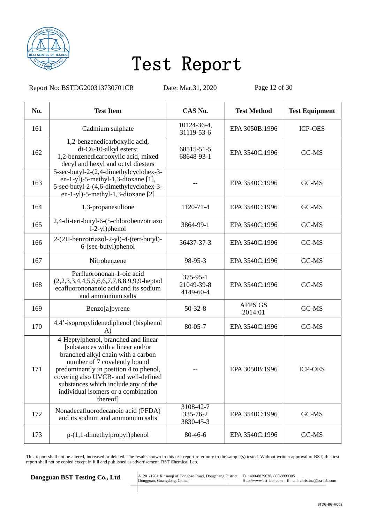

Report No: BSTDG200313730701CR Date: Mar.31, 2020 Page 12 of 30

| No. | <b>Test Item</b>                                                                                                                                                                                                                                                                                                         | CAS No.                             | <b>Test Method</b>        | <b>Test Equipment</b> |
|-----|--------------------------------------------------------------------------------------------------------------------------------------------------------------------------------------------------------------------------------------------------------------------------------------------------------------------------|-------------------------------------|---------------------------|-----------------------|
| 161 | Cadmium sulphate                                                                                                                                                                                                                                                                                                         | 10124-36-4,<br>31119-53-6           | EPA 3050B:1996            | <b>ICP-OES</b>        |
| 162 | 1,2-benzenedicarboxylic acid,<br>di-C6-10-alkyl esters;<br>1,2-benzenedicarboxylic acid, mixed<br>decyl and hexyl and octyl diesters                                                                                                                                                                                     | 68515-51-5<br>68648-93-1            | EPA 3540C:1996            | GC-MS                 |
| 163 | 5-sec-butyl-2-(2,4-dimethylcyclohex-3-<br>$en-1-yl$ )-5-methyl-1,3-dioxane [1],<br>5-sec-butyl-2-(4,6-dimethylcyclohex-3-<br>en-1-yl)-5-methyl-1,3-dioxane [2]                                                                                                                                                           |                                     | EPA 3540C:1996            | GC-MS                 |
| 164 | 1,3-propanesultone                                                                                                                                                                                                                                                                                                       | 1120-71-4                           | EPA 3540C:1996            | GC-MS                 |
| 165 | 2,4-di-tert-butyl-6-(5-chlorobenzotriazo<br>$1-2-yl$ )phenol                                                                                                                                                                                                                                                             | 3864-99-1                           | EPA 3540C:1996            | GC-MS                 |
| 166 | 2-(2H-benzotriazol-2-yl)-4-(tert-butyl)-<br>6-(sec-butyl)phenol                                                                                                                                                                                                                                                          | 36437-37-3                          | EPA 3540C:1996            | GC-MS                 |
| 167 | Nitrobenzene                                                                                                                                                                                                                                                                                                             | 98-95-3                             | EPA 3540C:1996            | GC-MS                 |
| 168 | Perfluorononan-1-oic acid<br>$(2,2,3,3,4,4,5,5,6,6,7,7,8,8,9,9,9)$ -heptad<br>ecafluorononanoic acid and its sodium<br>and ammonium salts                                                                                                                                                                                | 375-95-1<br>21049-39-8<br>4149-60-4 | EPA 3540C:1996            | GC-MS                 |
| 169 | Benzo[a]pyrene                                                                                                                                                                                                                                                                                                           | $50-32-8$                           | <b>AFPS GS</b><br>2014:01 | GC-MS                 |
| 170 | 4,4'-isopropylidenediphenol (bisphenol<br>A)                                                                                                                                                                                                                                                                             | $80 - 05 - 7$                       | EPA 3540C:1996            | GC-MS                 |
| 171 | 4-Heptylphenol, branched and linear<br>[substances with a linear and/or<br>branched alkyl chain with a carbon<br>number of 7 covalently bound<br>predominantly in position 4 to phenol,<br>covering also UVCB- and well-defined<br>substances which include any of the<br>individual isomers or a combination<br>thereof |                                     | EPA 3050B:1996            | <b>ICP-OES</b>        |
| 172 | Nonadecafluorodecanoic acid (PFDA)<br>and its sodium and ammonium salts                                                                                                                                                                                                                                                  | 3108-42-7<br>335-76-2<br>3830-45-3  | EPA 3540C:1996            | GC-MS                 |
| 173 | $p-(1,1-dimethylpropyl)$ phenol                                                                                                                                                                                                                                                                                          | 80-46-6                             | EPA 3540C:1996            | GC-MS                 |

This report shall not be altered, increased or deleted. The results shown in this test report refer only to the sample(s) tested. Without written approval of BST, this test report shall not be copied except in full and published as advertisement. BST Chemical Lab.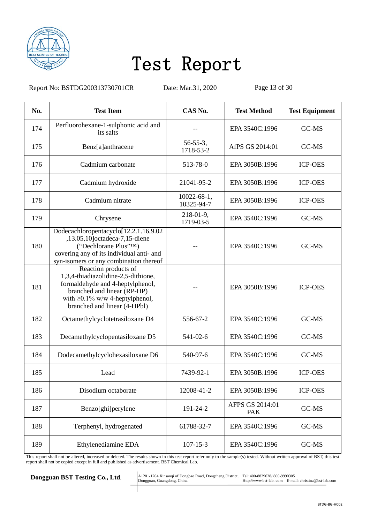

Report No: BSTDG200313730701CR Date: Mar.31, 2020 Page 13 of 30

| No. | <b>Test Item</b>                                                                                                                                                                                        | CAS No.                          | <b>Test Method</b>            | <b>Test Equipment</b> |
|-----|---------------------------------------------------------------------------------------------------------------------------------------------------------------------------------------------------------|----------------------------------|-------------------------------|-----------------------|
| 174 | Perfluorohexane-1-sulphonic acid and<br>its salts                                                                                                                                                       |                                  | EPA 3540C:1996                | GC-MS                 |
| 175 | Benz[a]anthracene                                                                                                                                                                                       | $56 - 55 - 3$ ,<br>1718-53-2     | AfPS GS 2014:01               | GC-MS                 |
| 176 | Cadmium carbonate                                                                                                                                                                                       | 513-78-0                         | EPA 3050B:1996                | <b>ICP-OES</b>        |
| 177 | Cadmium hydroxide                                                                                                                                                                                       | 21041-95-2                       | EPA 3050B:1996                | <b>ICP-OES</b>        |
| 178 | Cadmium nitrate                                                                                                                                                                                         | $10022 - 68 - 1$ ,<br>10325-94-7 | EPA 3050B:1996                | <b>ICP-OES</b>        |
| 179 | Chrysene                                                                                                                                                                                                | $218-01-9$ ,<br>1719-03-5        | EPA 3540C:1996                | GC-MS                 |
| 180 | Dodecachloropentacyclo[12.2.1.16,9.02<br>,13.05,10]octadeca-7,15-diene<br>("Dechlorane Plus"TM)<br>covering any of its individual anti- and<br>syn-isomers or any combination thereof                   |                                  | EPA 3540C:1996                | GC-MS                 |
| 181 | Reaction products of<br>1,3,4-thiadiazolidine-2,5-dithione,<br>formaldehyde and 4-heptylphenol,<br>branched and linear (RP-HP)<br>with $\geq 0.1\%$ w/w 4-heptylphenol,<br>branched and linear (4-HPbl) |                                  | EPA 3050B:1996                | <b>ICP-OES</b>        |
| 182 | Octamethylcyclotetrasiloxane D4                                                                                                                                                                         | 556-67-2                         | EPA 3540C:1996                | GC-MS                 |
| 183 | Decamethylcyclopentasiloxane D5                                                                                                                                                                         | 541-02-6                         | EPA 3540C:1996                | GC-MS                 |
| 184 | Dodecamethylcyclohexasiloxane D6                                                                                                                                                                        | 540-97-6                         | EPA 3540C:1996                | GC-MS                 |
| 185 | Lead                                                                                                                                                                                                    | 7439-92-1                        | EPA 3050B:1996                | <b>ICP-OES</b>        |
| 186 | Disodium octaborate                                                                                                                                                                                     | 12008-41-2                       | EPA 3050B:1996                | <b>ICP-OES</b>        |
| 187 | Benzo[ghi]perylene                                                                                                                                                                                      | 191-24-2                         | AFPS GS 2014:01<br><b>PAK</b> | GC-MS                 |
| 188 | Terphenyl, hydrogenated                                                                                                                                                                                 | 61788-32-7                       | EPA 3540C:1996                | GC-MS                 |
| 189 | Ethylenediamine EDA                                                                                                                                                                                     | $107 - 15 - 3$                   | EPA 3540C:1996                | GC-MS                 |

This report shall not be altered, increased or deleted. The results shown in this test report refer only to the sample(s) tested. Without written approval of BST, this test report shall not be copied except in full and published as advertisement. BST Chemical Lab.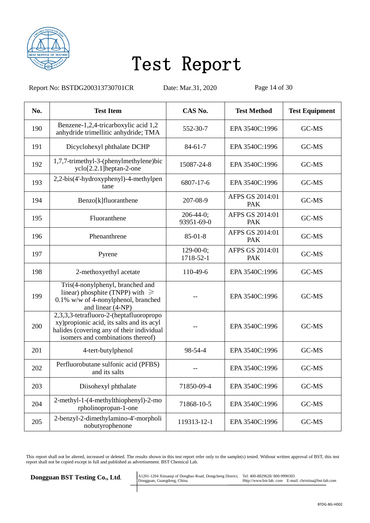

Report No: BSTDG200313730701CR Date: Mar.31, 2020 Page 14 of 30

| No. | <b>Test Item</b>                                                                                                                                                        | CAS No.                        | <b>Test Method</b>            | <b>Test Equipment</b> |
|-----|-------------------------------------------------------------------------------------------------------------------------------------------------------------------------|--------------------------------|-------------------------------|-----------------------|
| 190 | Benzene-1,2,4-tricarboxylic acid 1,2<br>anhydride trimellitic anhydride; TMA                                                                                            | 552-30-7                       | EPA 3540C:1996                | GC-MS                 |
| 191 | Dicyclohexyl phthalate DCHP                                                                                                                                             | $84 - 61 - 7$                  | EPA 3540C:1996                | GC-MS                 |
| 192 | 1,7,7-trimethyl-3-(phenylmethylene)bic<br>yclo <sup>[2.2.1]</sup> heptan-2-one                                                                                          | 15087-24-8                     | EPA 3540C:1996                | GC-MS                 |
| 193 | 2,2-bis(4'-hydroxyphenyl)-4-methylpen<br>tane                                                                                                                           | 6807-17-6                      | EPA 3540C:1996                | GC-MS                 |
| 194 | Benzo[k]fluoranthene                                                                                                                                                    | 207-08-9                       | AFPS GS 2014:01<br><b>PAK</b> | GC-MS                 |
| 195 | Fluoranthene                                                                                                                                                            | $206 - 44 - 0$ ;<br>93951-69-0 | AFPS GS 2014:01<br><b>PAK</b> | GC-MS                 |
| 196 | Phenanthrene                                                                                                                                                            | $85-01-8$                      | AFPS GS 2014:01<br><b>PAK</b> | GC-MS                 |
| 197 | Pyrene                                                                                                                                                                  | $129-00-0;$<br>1718-52-1       | AFPS GS 2014:01<br><b>PAK</b> | GC-MS                 |
| 198 | 2-methoxyethyl acetate                                                                                                                                                  | 110-49-6                       | EPA 3540C:1996                | GC-MS                 |
| 199 | Tris(4-nonylphenyl, branched and<br>linear) phosphite (TNPP) with $\geq$<br>0.1% w/w of 4-nonylphenol, branched<br>and linear (4-NP)                                    |                                | EPA 3540C:1996                | GC-MS                 |
| 200 | 2,3,3,3-tetrafluoro-2-(heptafluoropropo<br>xy) propionic acid, its salts and its acyl<br>halides (covering any of their individual<br>isomers and combinations thereof) |                                | EPA 3540C:1996                | GC-MS                 |
| 201 | 4-tert-butylphenol                                                                                                                                                      | 98-54-4                        | EPA 3540C:1996                | GC-MS                 |
| 202 | Perfluorobutane sulfonic acid (PFBS)<br>and its salts                                                                                                                   |                                | EPA 3540C:1996                | GC-MS                 |
| 203 | Diisohexyl phthalate                                                                                                                                                    | 71850-09-4                     | EPA 3540C:1996                | GC-MS                 |
| 204 | 2-methyl-1-(4-methylthiophenyl)-2-mo<br>rpholinopropan-1-one                                                                                                            | 71868-10-5                     | EPA 3540C:1996                | GC-MS                 |
| 205 | 2-benzyl-2-dimethylamino-4'-morpholi<br>nobutyrophenone                                                                                                                 | 119313-12-1                    | EPA 3540C:1996                | GC-MS                 |

This report shall not be altered, increased or deleted. The results shown in this test report refer only to the sample(s) tested. Without written approval of BST, this test report shall not be copied except in full and published as advertisement. BST Chemical Lab.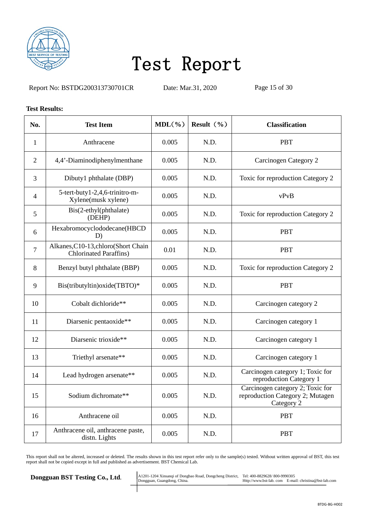

Report No: BSTDG200313730701CR Date: Mar.31, 2020 Page 15 of 30

#### **Test Results:**

| No.            | <b>Test Item</b>                                                      | $MDL(\frac{6}{6})$ | Result $(\% )$ | <b>Classification</b>                                                              |
|----------------|-----------------------------------------------------------------------|--------------------|----------------|------------------------------------------------------------------------------------|
| $\mathbf{1}$   | Anthracene                                                            | 0.005              | N.D.           | <b>PBT</b>                                                                         |
| $\overline{2}$ | 4,4'-Diaminodiphenylmenthane                                          | 0.005              | N.D.           | <b>Carcinogen Category 2</b>                                                       |
| 3              | Dibuty1 phthalate (DBP)                                               | 0.005              | N.D.           | Toxic for reproduction Category 2                                                  |
| $\overline{4}$ | 5-tert-buty1-2,4,6-trinitro-m-<br>Xylene(musk xylene)                 | 0.005              | N.D.           | vPvB                                                                               |
| 5              | Bis(2-ethyl(phthalate)<br>(DEHP)                                      | 0.005              | N.D.           | Toxic for reproduction Category 2                                                  |
| 6              | Hexabromocyclododecane(HBCD<br>D)                                     | 0.005              | N.D.           | <b>PBT</b>                                                                         |
| $\overline{7}$ | Alkanes, C10-13, chloro(Short Chain<br><b>Chlorinated Paraffins</b> ) | 0.01               | N.D.           | <b>PBT</b>                                                                         |
| 8              | Benzyl butyl phthalate (BBP)                                          | 0.005              | N.D.           | Toxic for reproduction Category 2                                                  |
| 9              | Bis(tributyltin) oxide(TBTO)*                                         | 0.005              | N.D.           | <b>PBT</b>                                                                         |
| 10             | Cobalt dichloride**                                                   | 0.005              | N.D.           | Carcinogen category 2                                                              |
| 11             | Diarsenic pentaoxide**                                                | 0.005              | N.D.           | Carcinogen category 1                                                              |
| 12             | Diarsenic trioxide**                                                  | 0.005              | N.D.           | Carcinogen category 1                                                              |
| 13             | Triethyl arsenate**                                                   | 0.005              | N.D.           | Carcinogen category 1                                                              |
| 14             | Lead hydrogen arsenate**                                              | 0.005              | N.D.           | Carcinogen category 1; Toxic for<br>reproduction Category 1                        |
| 15             | Sodium dichromate**                                                   | 0.005              | N.D.           | Carcinogen category 2; Toxic for<br>reproduction Category 2; Mutagen<br>Category 2 |
| 16             | Anthracene oil                                                        | 0.005              | N.D.           | <b>PBT</b>                                                                         |
| 17             | Anthracene oil, anthracene paste,<br>distn. Lights                    | 0.005              | N.D.           | <b>PBT</b>                                                                         |

This report shall not be altered, increased or deleted. The results shown in this test report refer only to the sample(s) tested. Without written approval of BST, this test report shall not be copied except in full and published as advertisement. BST Chemical Lab.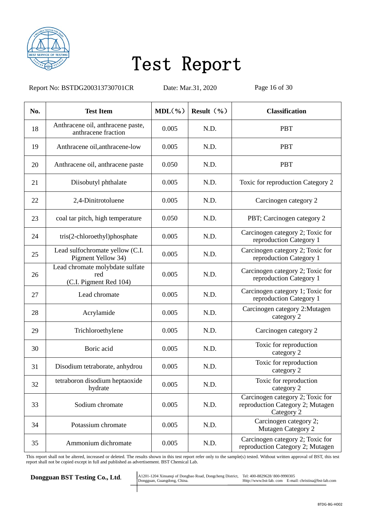

Report No: BSTDG200313730701CR Date: Mar.31, 2020 Page 16 of 30

| No. | <b>Test Item</b>                                                 | $MDL(\frac{6}{6})$ | Result $(\% )$ | <b>Classification</b>                                                              |
|-----|------------------------------------------------------------------|--------------------|----------------|------------------------------------------------------------------------------------|
| 18  | Anthracene oil, anthracene paste,<br>anthracene fraction         | 0.005              | N.D.           | <b>PBT</b>                                                                         |
| 19  | Anthracene oil, anthracene-low                                   | 0.005              | N.D.           | <b>PBT</b>                                                                         |
| 20  | Anthracene oil, anthracene paste                                 | 0.050              | N.D.           | <b>PBT</b>                                                                         |
| 21  | Diisobutyl phthalate                                             | 0.005              | N.D.           | Toxic for reproduction Category 2                                                  |
| 22  | 2,4-Dinitrotoluene                                               | 0.005              | N.D.           | Carcinogen category 2                                                              |
| 23  | coal tar pitch, high temperature                                 | 0.050              | N.D.           | PBT; Carcinogen category 2                                                         |
| 24  | tris(2-chloroethyl)phosphate                                     | 0.005              | N.D.           | Carcinogen category 2; Toxic for<br>reproduction Category 1                        |
| 25  | Lead sulfochromate yellow (C.I.<br>Pigment Yellow 34)            | 0.005              | N.D.           | Carcinogen category 2; Toxic for<br>reproduction Category 1                        |
| 26  | Lead chromate molybdate sulfate<br>red<br>(C.I. Pigment Red 104) | 0.005              | N.D.           | Carcinogen category 2; Toxic for<br>reproduction Category 1                        |
| 27  | Lead chromate                                                    | 0.005              | N.D.           | Carcinogen category 1; Toxic for<br>reproduction Category 1                        |
| 28  | Acrylamide                                                       | 0.005              | N.D.           | Carcinogen category 2: Mutagen<br>category 2                                       |
| 29  | Trichloroethylene                                                | 0.005              | N.D.           | Carcinogen category 2                                                              |
| 30  | Boric acid                                                       | 0.005              | N.D.           | Toxic for reproduction<br>category 2                                               |
| 31  | Disodium tetraborate, anhydrou                                   | 0.005              | N.D.           | Toxic for reproduction<br>category 2                                               |
| 32  | tetraboron disodium heptaoxide<br>hydrate                        | 0.005              | N.D.           | Toxic for reproduction<br>category 2                                               |
| 33  | Sodium chromate                                                  | 0.005              | N.D.           | Carcinogen category 2; Toxic for<br>reproduction Category 2; Mutagen<br>Category 2 |
| 34  | Potassium chromate                                               | 0.005              | N.D.           | Carcinogen category 2;<br>Mutagen Category 2                                       |
| 35  | Ammonium dichromate                                              | 0.005              | N.D.           | Carcinogen category 2; Toxic for<br>reproduction Category 2; Mutagen               |

This report shall not be altered, increased or deleted. The results shown in this test report refer only to the sample(s) tested. Without written approval of BST, this test report shall not be copied except in full and published as advertisement. BST Chemical Lab.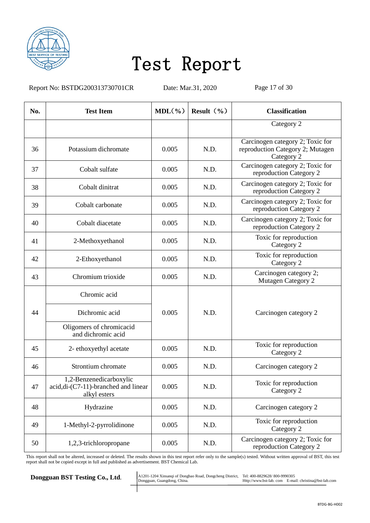

Report No: BSTDG200313730701CR Date: Mar.31, 2020 Page 17 of 30

| No. | <b>Test Item</b>                                                                | $MDL(\frac{6}{6})$ | Result $(\% )$ | <b>Classification</b>                                                              |
|-----|---------------------------------------------------------------------------------|--------------------|----------------|------------------------------------------------------------------------------------|
|     |                                                                                 |                    |                | Category 2                                                                         |
| 36  | Potassium dichromate                                                            | 0.005              | N.D.           | Carcinogen category 2; Toxic for<br>reproduction Category 2; Mutagen<br>Category 2 |
| 37  | Cobalt sulfate                                                                  | 0.005              | N.D.           | Carcinogen category 2; Toxic for<br>reproduction Category 2                        |
| 38  | Cobalt dinitrat                                                                 | 0.005              | N.D.           | Carcinogen category 2; Toxic for<br>reproduction Category 2                        |
| 39  | Cobalt carbonate                                                                | 0.005              | N.D.           | Carcinogen category 2; Toxic for<br>reproduction Category 2                        |
| 40  | Cobalt diacetate                                                                | 0.005              | N.D.           | Carcinogen category 2; Toxic for<br>reproduction Category 2                        |
| 41  | 2-Methoxyethanol                                                                | 0.005              | N.D.           | Toxic for reproduction<br>Category 2                                               |
| 42  | 2-Ethoxyethanol                                                                 | 0.005              | N.D.           | Toxic for reproduction<br>Category 2                                               |
| 43  | Chromium trioxide                                                               | 0.005              | N.D.           | Carcinogen category 2;<br>Mutagen Category 2                                       |
|     | Chromic acid                                                                    |                    |                |                                                                                    |
| 44  | Dichromic acid                                                                  | 0.005              | N.D.           | Carcinogen category 2                                                              |
|     | Oligomers of chromicacid<br>and dichromic acid                                  |                    |                |                                                                                    |
| 45  | 2- ethoxyethyl acetate                                                          | 0.005              | N.D.           | Toxic for reproduction<br>Category 2                                               |
| 46  | Strontium chromate                                                              | 0.005              | N.D.           | Carcinogen category 2                                                              |
| 47  | 1,2-Benzenedicarboxylic<br>acid, di-(C7-11)-branched and linear<br>alkyl esters | 0.005              | N.D.           | Toxic for reproduction<br>Category 2                                               |
| 48  | Hydrazine                                                                       | 0.005              | N.D.           | Carcinogen category 2                                                              |
| 49  | 1-Methyl-2-pyrrolidinone                                                        | 0.005              | N.D.           | Toxic for reproduction<br>Category 2                                               |
| 50  | 1,2,3-trichloropropane                                                          | 0.005              | N.D.           | Carcinogen category 2; Toxic for<br>reproduction Category 2                        |

This report shall not be altered, increased or deleted. The results shown in this test report refer only to the sample(s) tested. Without written approval of BST, this test report shall not be copied except in full and published as advertisement. BST Chemical Lab.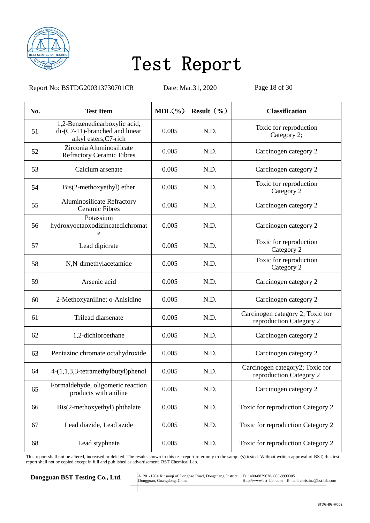

Report No: BSTDG200313730701CR Date: Mar.31, 2020 Page 18 of 30

| No. | <b>Test Item</b>                                                                                | $MDL(\frac{6}{6})$ | Result $(\% )$ | <b>Classification</b>                                       |
|-----|-------------------------------------------------------------------------------------------------|--------------------|----------------|-------------------------------------------------------------|
| 51  | 1,2-Benzenedicarboxylic acid,<br>$di$ - $(C7-11)$ -branched and linear<br>alkyl esters, C7-rich | 0.005              | N.D.           | Toxic for reproduction<br>Category 2;                       |
| 52  | Zirconia Aluminosilicate<br><b>Refractory Ceramic Fibres</b>                                    | 0.005              | N.D.           | Carcinogen category 2                                       |
| 53  | Calcium arsenate                                                                                | 0.005              | N.D.           | Carcinogen category 2                                       |
| 54  | Bis(2-methoxyethyl) ether                                                                       | 0.005              | N.D.           | Toxic for reproduction<br>Category 2                        |
| 55  | <b>Aluminosilicate Refractory</b><br><b>Ceramic Fibres</b>                                      | 0.005              | N.D.           | Carcinogen category 2                                       |
| 56  | Potassium<br>hydroxyoctaoxodizincatedichromat<br>e                                              | 0.005              | N.D.           | Carcinogen category 2                                       |
| 57  | Lead dipicrate                                                                                  | 0.005              | N.D.           | Toxic for reproduction<br>Category 2                        |
| 58  | N,N-dimethylacetamide                                                                           | 0.005              | N.D.           | Toxic for reproduction<br>Category 2                        |
| 59  | Arsenic acid                                                                                    | 0.005              | N.D.           | Carcinogen category 2                                       |
| 60  | 2-Methoxyaniline; o-Anisidine                                                                   | 0.005              | N.D.           | Carcinogen category 2                                       |
| 61  | Trilead diarsenate                                                                              | 0.005              | N.D.           | Carcinogen category 2; Toxic for<br>reproduction Category 2 |
| 62  | 1,2-dichloroethane                                                                              | 0.005              | N.D.           | Carcinogen category 2                                       |
| 63  | Pentazinc chromate octahydroxide                                                                | 0.005              | N.D.           | Carcinogen category 2                                       |
| 64  | 4-(1,1,3,3-tetramethylbutyl)phenol                                                              | 0.005              | N.D.           | Carcinogen category2; Toxic for<br>reproduction Category 2  |
| 65  | Formaldehyde, oligomeric reaction<br>products with aniline                                      | 0.005              | N.D.           | Carcinogen category 2                                       |
| 66  | Bis(2-methoxyethyl) phthalate                                                                   | 0.005              | N.D.           | Toxic for reproduction Category 2                           |
| 67  | Lead diazide, Lead azide                                                                        | 0.005              | N.D.           | Toxic for reproduction Category 2                           |
| 68  | Lead styphnate                                                                                  | 0.005              | N.D.           | Toxic for reproduction Category 2                           |

This report shall not be altered, increased or deleted. The results shown in this test report refer only to the sample(s) tested. Without written approval of BST, this test report shall not be copied except in full and published as advertisement. BST Chemical Lab.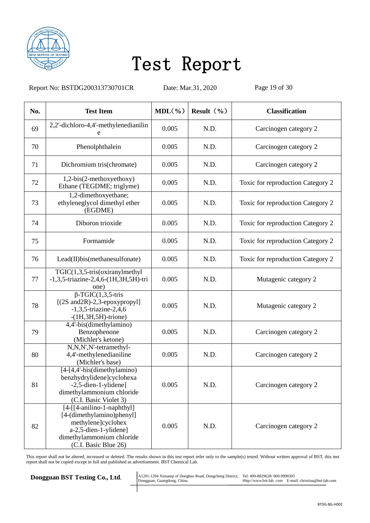

Report No: BSTDG200313730701CR Date: Mar.31, 2020 Page 19 of 30

| No. | <b>Test Item</b>                                                                                                                                                | $MDL(\% )$ | Result $(\% )$ | <b>Classification</b>             |
|-----|-----------------------------------------------------------------------------------------------------------------------------------------------------------------|------------|----------------|-----------------------------------|
| 69  | 2,2'-dichloro-4,4'-methylenedianilin<br>e                                                                                                                       | 0.005      | N.D.           | Carcinogen category 2             |
| 70  | Phenolphthalein                                                                                                                                                 | 0.005      | N.D.           | Carcinogen category 2             |
| 71  | Dichromium tris(chromate)                                                                                                                                       | 0.005      | N.D.           | Carcinogen category 2             |
| 72  | $1,2-bis(2-methoxyethoxy)$<br>Ethane (TEGDME; triglyme)                                                                                                         | 0.005      | N.D.           | Toxic for reproduction Category 2 |
| 73  | 1,2-dimethoxyethane;<br>ethyleneglycol dimethyl ether<br>(EGDME)                                                                                                | 0.005      | N.D.           | Toxic for reproduction Category 2 |
| 74  | Diboron trioxide                                                                                                                                                | 0.005      | N.D.           | Toxic for reproduction Category 2 |
| 75  | Formamide                                                                                                                                                       | 0.005      | N.D.           | Toxic for reproduction Category 2 |
| 76  | Lead(II)bis(methanesulfonate)                                                                                                                                   | 0.005      | N.D.           | Toxic for reproduction Category 2 |
| 77  | $TGIC(1,3,5-tris(oxiranylmethyl)$<br>-1,3,5-triazine-2,4,6-(1H,3H,5H)-tri<br>one)                                                                               | 0.005      | N.D.           | Mutagenic category 2              |
| 78  | $\overline{\beta$ -TGIC(1,3,5-tris<br>$[(2S and 2R) - 2, 3$ -epoxypropyl]<br>$-1,3,5$ -triazine-2,4,6<br>$-(1H, 3H, 5H)$ -trione)                               | 0.005      | N.D.           | Mutagenic category 2              |
| 79  | 4,4'-bis(dimethylamino)<br>Benzophenone<br>(Michler's ketone)                                                                                                   | 0.005      | N.D.           | Carcinogen category 2             |
| 80  | N,N,N',N'-tetramethyl-<br>4,4'-methylenedianiline<br>(Michler's base)                                                                                           | 0.005      | N.D.           | Carcinogen category 2             |
| 81  | [4-[4,4'-bis(dimethylamino)<br>benzhydrylidene]cyclohexa<br>$-2,5$ -dien-1-ylidene]<br>dimethylammonium chloride<br>(C.I. Basic Violet 3)                       | 0.005      | N.D.           | Carcinogen category 2             |
| 82  | $[4-[[4-anilino-1-naphthyl]]]$<br>[4-(dimethylamino)phenyl]<br>methylene]cyclohex<br>a-2,5-dien-1-ylidene]<br>dimethylammonium chloride<br>(C.I. Basic Blue 26) | 0.005      | N.D.           | Carcinogen category 2             |

This report shall not be altered, increased or deleted. The results shown in this test report refer only to the sample(s) tested. Without written approval of BST, this test report shall not be copied except in full and published as advertisement. BST Chemical Lab.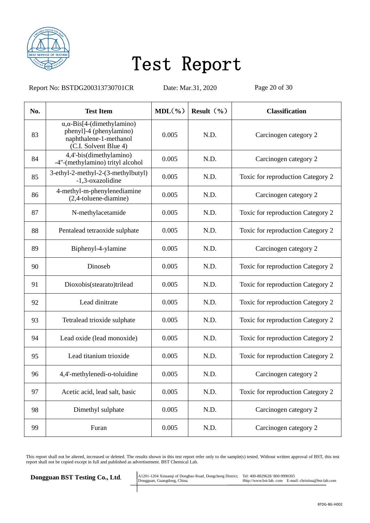

Report No: BSTDG200313730701CR Date: Mar.31, 2020 Page 20 of 30

| No. | <b>Test Item</b>                                                                                                         | $MDL(\% )$ | Result $(\% )$ | <b>Classification</b>             |
|-----|--------------------------------------------------------------------------------------------------------------------------|------------|----------------|-----------------------------------|
| 83  | $\alpha$ , $\alpha$ -Bis[4-(dimethylamino)<br>phenyl]-4 (phenylamino)<br>naphthalene-1-methanol<br>(C.I. Solvent Blue 4) | 0.005      | N.D.           | Carcinogen category 2             |
| 84  | 4,4'-bis(dimethylamino)<br>-4"-(methylamino) trityl alcohol                                                              | 0.005      | N.D.           | Carcinogen category 2             |
| 85  | 3-ethyl-2-methyl-2-(3-methylbutyl)<br>-1,3-oxazolidine                                                                   | 0.005      | N.D.           | Toxic for reproduction Category 2 |
| 86  | 4-methyl-m-phenylenediamine<br>(2,4-toluene-diamine)                                                                     | 0.005      | N.D.           | Carcinogen category 2             |
| 87  | N-methylacetamide                                                                                                        | 0.005      | N.D.           | Toxic for reproduction Category 2 |
| 88  | Pentalead tetraoxide sulphate                                                                                            | 0.005      | N.D.           | Toxic for reproduction Category 2 |
| 89  | Biphenyl-4-ylamine                                                                                                       | 0.005      | N.D.           | Carcinogen category 2             |
| 90  | Dinoseb                                                                                                                  | 0.005      | N.D.           | Toxic for reproduction Category 2 |
| 91  | Dioxobis(stearato)trilead                                                                                                | 0.005      | N.D.           | Toxic for reproduction Category 2 |
| 92  | Lead dinitrate                                                                                                           | 0.005      | N.D.           | Toxic for reproduction Category 2 |
| 93  | Tetralead trioxide sulphate                                                                                              | 0.005      | N.D.           | Toxic for reproduction Category 2 |
| 94  | Lead oxide (lead monoxide)                                                                                               | 0.005      | N.D.           | Toxic for reproduction Category 2 |
| 95  | Lead titanium trioxide                                                                                                   | 0.005      | N.D.           | Toxic for reproduction Category 2 |
| 96  | 4,4'-methylenedi-o-toluidine                                                                                             | 0.005      | N.D.           | Carcinogen category 2             |
| 97  | Acetic acid, lead salt, basic                                                                                            | 0.005      | N.D.           | Toxic for reproduction Category 2 |
| 98  | Dimethyl sulphate                                                                                                        | 0.005      | N.D.           | Carcinogen category 2             |
| 99  | Furan                                                                                                                    | 0.005      | N.D.           | Carcinogen category 2             |

This report shall not be altered, increased or deleted. The results shown in this test report refer only to the sample(s) tested. Without written approval of BST, this test report shall not be copied except in full and published as advertisement. BST Chemical Lab.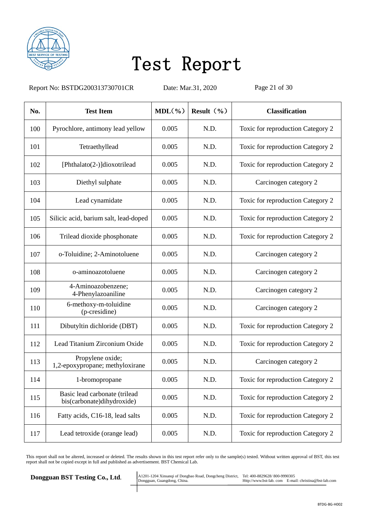

Report No: BSTDG200313730701CR Date: Mar.31, 2020 Page 21 of 30

| No. | <b>Test Item</b>                                            | $MDL(\% )$ | Result $(\% )$ | <b>Classification</b>             |
|-----|-------------------------------------------------------------|------------|----------------|-----------------------------------|
| 100 | Pyrochlore, antimony lead yellow                            | 0.005      | N.D.           | Toxic for reproduction Category 2 |
| 101 | Tetraethyllead                                              | 0.005      | N.D.           | Toxic for reproduction Category 2 |
| 102 | [Phthalato(2-)]dioxotrilead                                 | 0.005      | N.D.           | Toxic for reproduction Category 2 |
| 103 | Diethyl sulphate                                            | 0.005      | N.D.           | Carcinogen category 2             |
| 104 | Lead cynamidate                                             | 0.005      | N.D.           | Toxic for reproduction Category 2 |
| 105 | Silicic acid, barium salt, lead-doped                       | 0.005      | N.D.           | Toxic for reproduction Category 2 |
| 106 | Trilead dioxide phosphonate                                 | 0.005      | N.D.           | Toxic for reproduction Category 2 |
| 107 | o-Toluidine; 2-Aminotoluene                                 | 0.005      | N.D.           | Carcinogen category 2             |
| 108 | o-aminoazotoluene                                           | 0.005      | N.D.           | Carcinogen category 2             |
| 109 | 4-Aminoazobenzene;<br>4-Phenylazoaniline                    | 0.005      | N.D.           | Carcinogen category 2             |
| 110 | 6-methoxy-m-toluidine<br>(p-cresidine)                      | 0.005      | N.D.           | Carcinogen category 2             |
| 111 | Dibutyltin dichloride (DBT)                                 | 0.005      | N.D.           | Toxic for reproduction Category 2 |
| 112 | Lead Titanium Zirconium Oxide                               | 0.005      | N.D.           | Toxic for reproduction Category 2 |
| 113 | Propylene oxide;<br>1,2-epoxypropane; methyloxirane         | 0.005      | N.D.           | Carcinogen category 2             |
| 114 | 1-bromopropane                                              | 0.005      | N.D.           | Toxic for reproduction Category 2 |
| 115 | Basic lead carbonate (trilead<br>bis(carbonate)dihydroxide) | 0.005      | N.D.           | Toxic for reproduction Category 2 |
| 116 | Fatty acids, C16-18, lead salts                             | 0.005      | N.D.           | Toxic for reproduction Category 2 |
| 117 | Lead tetroxide (orange lead)                                | 0.005      | N.D.           | Toxic for reproduction Category 2 |

This report shall not be altered, increased or deleted. The results shown in this test report refer only to the sample(s) tested. Without written approval of BST, this test report shall not be copied except in full and published as advertisement. BST Chemical Lab.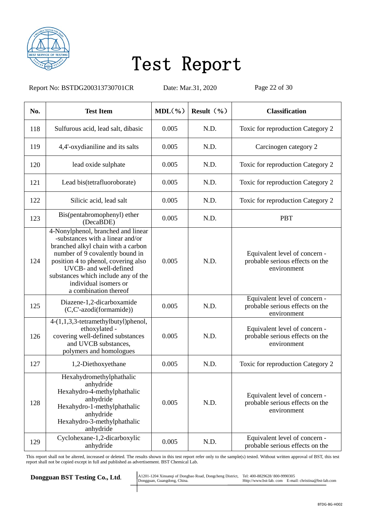

Report No: BSTDG200313730701CR Date: Mar.31, 2020 Page 22 of 30

| No. | <b>Test Item</b>                                                                                                                                                                                                                                                                                          | $MDL(\frac{9}{6})$ | Result $(\% )$ | <b>Classification</b>                                                           |
|-----|-----------------------------------------------------------------------------------------------------------------------------------------------------------------------------------------------------------------------------------------------------------------------------------------------------------|--------------------|----------------|---------------------------------------------------------------------------------|
| 118 | Sulfurous acid, lead salt, dibasic                                                                                                                                                                                                                                                                        | 0.005              | N.D.           | Toxic for reproduction Category 2                                               |
| 119 | 4,4'-oxydianiline and its salts                                                                                                                                                                                                                                                                           | 0.005              | N.D.           | Carcinogen category 2                                                           |
| 120 | lead oxide sulphate                                                                                                                                                                                                                                                                                       | 0.005              | N.D.           | Toxic for reproduction Category 2                                               |
| 121 | Lead bis(tetrafluoroborate)                                                                                                                                                                                                                                                                               | 0.005              | N.D.           | Toxic for reproduction Category 2                                               |
| 122 | Silicic acid, lead salt                                                                                                                                                                                                                                                                                   | 0.005              | N.D.           | Toxic for reproduction Category 2                                               |
| 123 | Bis(pentabromophenyl) ether<br>(DecaBDE)                                                                                                                                                                                                                                                                  | 0.005              | N.D.           | <b>PBT</b>                                                                      |
| 124 | 4-Nonylphenol, branched and linear<br>-substances with a linear and/or<br>branched alkyl chain with a carbon<br>number of 9 covalently bound in<br>position 4 to phenol, covering also<br>UVCB- and well-defined<br>substances which include any of the<br>individual isomers or<br>a combination thereof | 0.005              | N.D.           | Equivalent level of concern -<br>probable serious effects on the<br>environment |
| 125 | Diazene-1,2-dicarboxamide<br>(C,C'-azodi(formamide))                                                                                                                                                                                                                                                      | 0.005              | N.D.           | Equivalent level of concern -<br>probable serious effects on the<br>environment |
| 126 | 4-(1,1,3,3-tetramethylbutyl)phenol,<br>ethoxylated -<br>covering well-defined substances<br>and UVCB substances,<br>polymers and homologues                                                                                                                                                               | 0.005              | N.D.           | Equivalent level of concern -<br>probable serious effects on the<br>environment |
| 127 | 1,2-Diethoxyethane                                                                                                                                                                                                                                                                                        | 0.005              | N.D.           | Toxic for reproduction Category 2                                               |
| 128 | Hexahydromethylphathalic<br>anhydride<br>Hexahydro-4-methylphathalic<br>anhydride<br>Hexahydro-1-methylphathalic<br>anhydride<br>Hexahydro-3-methylphathalic<br>anhydride                                                                                                                                 | 0.005              | N.D.           | Equivalent level of concern -<br>probable serious effects on the<br>environment |
| 129 | Cyclohexane-1,2-dicarboxylic<br>anhydride                                                                                                                                                                                                                                                                 | 0.005              | N.D.           | Equivalent level of concern -<br>probable serious effects on the                |

This report shall not be altered, increased or deleted. The results shown in this test report refer only to the sample(s) tested. Without written approval of BST, this test report shall not be copied except in full and published as advertisement. BST Chemical Lab.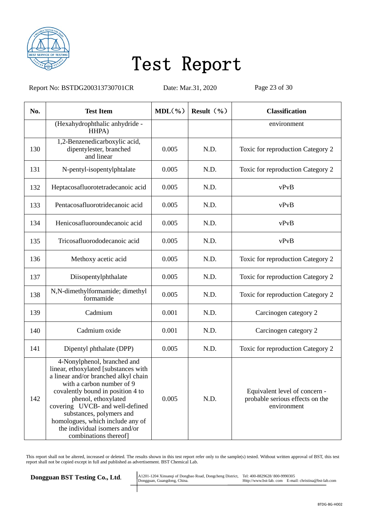

Report No: BSTDG200313730701CR Date: Mar.31, 2020 Page 23 of 30

| No. | <b>Test Item</b>                                                                                                                                                                                                                                                                                                                                                  | $MDL(\% )$ | Result $(\% )$ | <b>Classification</b>                                                           |
|-----|-------------------------------------------------------------------------------------------------------------------------------------------------------------------------------------------------------------------------------------------------------------------------------------------------------------------------------------------------------------------|------------|----------------|---------------------------------------------------------------------------------|
|     | (Hexahydrophthalic anhydride -<br>HHPA)                                                                                                                                                                                                                                                                                                                           |            |                | environment                                                                     |
| 130 | 1,2-Benzenedicarboxylic acid,<br>dipentylester, branched<br>and linear                                                                                                                                                                                                                                                                                            | 0.005      | N.D.           | Toxic for reproduction Category 2                                               |
| 131 | N-pentyl-isopentylphtalate                                                                                                                                                                                                                                                                                                                                        | 0.005      | N.D.           | Toxic for reproduction Category 2                                               |
| 132 | Heptacosafluorotetradecanoic acid                                                                                                                                                                                                                                                                                                                                 | 0.005      | N.D.           | vPvB                                                                            |
| 133 | Pentacosafluorotridecanoic acid                                                                                                                                                                                                                                                                                                                                   | 0.005      | N.D.           | vPvB                                                                            |
| 134 | Henicosafluoroundecanoic acid                                                                                                                                                                                                                                                                                                                                     | 0.005      | N.D.           | vPvB                                                                            |
| 135 | Tricosafluorododecanoic acid                                                                                                                                                                                                                                                                                                                                      | 0.005      | N.D.           | vPvB                                                                            |
| 136 | Methoxy acetic acid                                                                                                                                                                                                                                                                                                                                               | 0.005      | N.D.           | Toxic for reproduction Category 2                                               |
| 137 | Diisopentylphthalate                                                                                                                                                                                                                                                                                                                                              | 0.005      | N.D.           | Toxic for reproduction Category 2                                               |
| 138 | N,N-dimethylformamide; dimethyl<br>formamide                                                                                                                                                                                                                                                                                                                      | 0.005      | N.D.           | Toxic for reproduction Category 2                                               |
| 139 | Cadmium                                                                                                                                                                                                                                                                                                                                                           | 0.001      | N.D.           | Carcinogen category 2                                                           |
| 140 | Cadmium oxide                                                                                                                                                                                                                                                                                                                                                     | 0.001      | N.D.           | Carcinogen category 2                                                           |
| 141 | Dipentyl phthalate (DPP)                                                                                                                                                                                                                                                                                                                                          | 0.005      | N.D.           | Toxic for reproduction Category 2                                               |
| 142 | 4-Nonylphenol, branched and<br>linear, ethoxylated [substances with<br>a linear and/or branched alkyl chain<br>with a carbon number of 9<br>covalently bound in position 4 to<br>phenol, ethoxylated<br>covering UVCB- and well-defined<br>substances, polymers and<br>homologues, which include any of<br>the individual isomers and/or<br>combinations thereof] | 0.005      | N.D.           | Equivalent level of concern -<br>probable serious effects on the<br>environment |

This report shall not be altered, increased or deleted. The results shown in this test report refer only to the sample(s) tested. Without written approval of BST, this test report shall not be copied except in full and published as advertisement. BST Chemical Lab.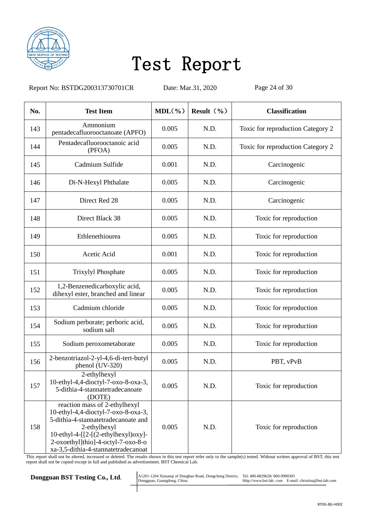

Report No: BSTDG200313730701CR Date: Mar.31, 2020 Page 24 of 30

| No. | <b>Test Item</b>                                                                                                                                                                                                                                  | $MDL(\% )$ | Result $(\% )$ | <b>Classification</b>             |
|-----|---------------------------------------------------------------------------------------------------------------------------------------------------------------------------------------------------------------------------------------------------|------------|----------------|-----------------------------------|
| 143 | Ammonium<br>pentadecafluorooctanoate (APFO)                                                                                                                                                                                                       | 0.005      | N.D.           | Toxic for reproduction Category 2 |
| 144 | Pentadecafluorooctanoic acid<br>(PFOA)                                                                                                                                                                                                            | 0.005      | N.D.           | Toxic for reproduction Category 2 |
| 145 | Cadmium Sulfide                                                                                                                                                                                                                                   | 0.001      | N.D.           | Carcinogenic                      |
| 146 | Di-N-Hexyl Phthalate                                                                                                                                                                                                                              | 0.005      | N.D.           | Carcinogenic                      |
| 147 | Direct Red 28                                                                                                                                                                                                                                     | 0.005      | N.D.           | Carcinogenic                      |
| 148 | Direct Black 38                                                                                                                                                                                                                                   | 0.005      | N.D.           | Toxic for reproduction            |
| 149 | Ethlenethiourea                                                                                                                                                                                                                                   | 0.005      | N.D.           | Toxic for reproduction            |
| 150 | Acetic Acid                                                                                                                                                                                                                                       | 0.001      | N.D.           | Toxic for reproduction            |
| 151 | Trixylyl Phosphate                                                                                                                                                                                                                                | 0.005      | N.D.           | Toxic for reproduction            |
| 152 | 1,2-Benzenedicarboxylic acid,<br>dihexyl ester, branched and linear                                                                                                                                                                               | 0.005      | N.D.           | Toxic for reproduction            |
| 153 | Cadmium chloride                                                                                                                                                                                                                                  | 0.005      | N.D.           | Toxic for reproduction            |
| 154 | Sodium perborate; perboric acid,<br>sodium salt                                                                                                                                                                                                   | 0.005      | N.D.           | Toxic for reproduction            |
| 155 | Sodium peroxometaborate                                                                                                                                                                                                                           | 0.005      | N.D.           | Toxic for reproduction            |
| 156 | 2-benzotriazol-2-yl-4,6-di-tert-butyl<br>phenol (UV-320)                                                                                                                                                                                          | 0.005      | N.D.           | PBT, vPvB                         |
| 157 | 2-ethylhexyl<br>10-ethyl-4,4-dioctyl-7-oxo-8-oxa-3,<br>5-dithia-4-stannatetradecanoate<br>(DOTE)                                                                                                                                                  | 0.005      | N.D.           | Toxic for reproduction            |
| 158 | reaction mass of 2-ethylhexyl<br>10-ethyl-4,4-dioctyl-7-oxo-8-oxa-3,<br>5-dithia-4-stannatetradecanoate and<br>2-ethylhexyl<br>10-ethyl-4- $[2-(2-ethylhexyl)oxy]$ -<br>2-oxoethyl]thio]-4-octyl-7-oxo-8-o<br>xa-3,5-dithia-4-stannatetradecanoat | 0.005      | N.D.           | Toxic for reproduction            |

This report shall not be altered, increased or deleted. The results shown in this test report refer only to the sample(s) tested. Without written approval of BST, this test report shall not be copied except in full and published as advertisement. BST Chemical Lab.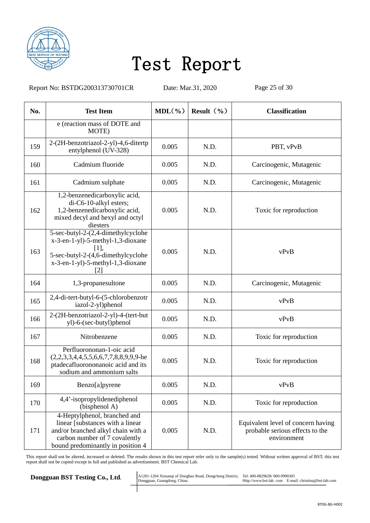

Report No: BSTDG200313730701CR Date: Mar.31, 2020 Page 25 of 30

| No. | <b>Test Item</b>                                                                                                                                                             | $MDL(\% )$ | Result $(\frac{6}{6})$ | <b>Classification</b>                                                                |
|-----|------------------------------------------------------------------------------------------------------------------------------------------------------------------------------|------------|------------------------|--------------------------------------------------------------------------------------|
|     | e (reaction mass of DOTE and<br>MOTE)                                                                                                                                        |            |                        |                                                                                      |
| 159 | 2-(2H-benzotriazol-2-yl)-4,6-ditertp<br>entylphenol (UV-328)                                                                                                                 | 0.005      | N.D.                   | PBT, vPvB                                                                            |
| 160 | Cadmium fluoride                                                                                                                                                             | 0.005      | N.D.                   | Carcinogenic, Mutagenic                                                              |
| 161 | Cadmium sulphate                                                                                                                                                             | 0.005      | N.D.                   | Carcinogenic, Mutagenic                                                              |
| 162 | 1,2-benzenedicarboxylic acid,<br>di-C6-10-alkyl esters;<br>1,2-benzenedicarboxylic acid,<br>mixed decyl and hexyl and octyl<br>diesters                                      | 0.005      | N.D.                   | Toxic for reproduction                                                               |
| 163 | 5-sec-butyl-2-(2,4-dimethylcyclohe<br>x-3-en-1-yl)-5-methyl-1,3-dioxane<br>[1],<br>5-sec-butyl-2-(4,6-dimethylcyclohe<br>x-3-en-1-yl)-5-methyl-1,3-dioxane<br>[2]            | 0.005      | N.D.                   | vPvB                                                                                 |
| 164 | 1,3-propanesultone                                                                                                                                                           | 0.005      | N.D.                   | Carcinogenic, Mutagenic                                                              |
| 165 | 2,4-di-tert-butyl-6-(5-chlorobenzotr<br>iazol-2-yl)phenol                                                                                                                    | 0.005      | N.D.                   | vPvB                                                                                 |
| 166 | 2-(2H-benzotriazol-2-yl)-4-(tert-but<br>yl)-6-(sec-butyl)phenol                                                                                                              | 0.005      | N.D.                   | vPvB                                                                                 |
| 167 | Nitrobenzene                                                                                                                                                                 | 0.005      | N.D.                   | Toxic for reproduction                                                               |
| 168 | Perfluorononan-1-oic acid<br>$(2,2,3,3,4,4,5,5,6,6,7,7,8,8,9,9,9)$ -he<br>ptadecafluorononanoic acid and its<br>sodium and ammonium salts                                    | 0.005      | N.D.                   | Toxic for reproduction                                                               |
| 169 | Benzo[a]pyrene                                                                                                                                                               | 0.005      | N.D.                   | vPvB                                                                                 |
| 170 | 4,4'-isopropylidenediphenol<br>(bisphenol A)                                                                                                                                 | 0.005      | N.D.                   | Toxic for reproduction                                                               |
| 171 | 4-Heptylphenol, branched and<br>linear [substances with a linear<br>and/or branched alkyl chain with a<br>carbon number of 7 covalently<br>bound predominantly in position 4 | 0.005      | N.D.                   | Equivalent level of concern having<br>probable serious effects to the<br>environment |

This report shall not be altered, increased or deleted. The results shown in this test report refer only to the sample(s) tested. Without written approval of BST, this test report shall not be copied except in full and published as advertisement. BST Chemical Lab.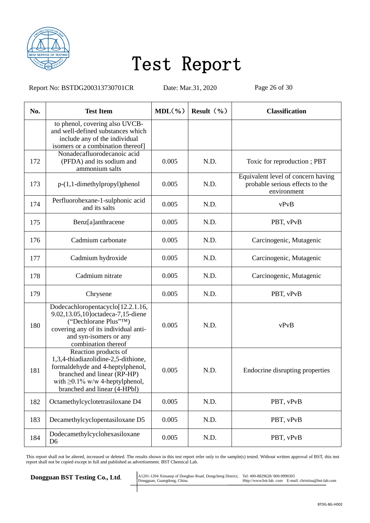

Report No: BSTDG200313730701CR Date: Mar.31, 2020 Page 26 of 30

| No. | <b>Test Item</b>                                                                                                                                                                                        | $MDL(\frac{6}{6})$ | Result $(\% )$ | <b>Classification</b>                                                                |
|-----|---------------------------------------------------------------------------------------------------------------------------------------------------------------------------------------------------------|--------------------|----------------|--------------------------------------------------------------------------------------|
|     | to phenol, covering also UVCB-<br>and well-defined substances which<br>include any of the individual<br>isomers or a combination thereof]                                                               |                    |                |                                                                                      |
| 172 | Nonadecafluorodecanoic acid<br>(PFDA) and its sodium and<br>ammonium salts                                                                                                                              | 0.005              | N.D.           | Toxic for reproduction; PBT                                                          |
| 173 | $p-(1,1-dimethylpropyl)$ phenol                                                                                                                                                                         | 0.005              | N.D.           | Equivalent level of concern having<br>probable serious effects to the<br>environment |
| 174 | Perfluorohexane-1-sulphonic acid<br>and its salts                                                                                                                                                       | 0.005              | N.D.           | vPvB                                                                                 |
| 175 | Benz[a]anthracene                                                                                                                                                                                       | 0.005              | N.D.           | PBT, vPvB                                                                            |
| 176 | Cadmium carbonate                                                                                                                                                                                       | 0.005              | N.D.           | Carcinogenic, Mutagenic                                                              |
| 177 | Cadmium hydroxide                                                                                                                                                                                       | 0.005              | N.D.           | Carcinogenic, Mutagenic                                                              |
| 178 | Cadmium nitrate                                                                                                                                                                                         | 0.005              | N.D.           | Carcinogenic, Mutagenic                                                              |
| 179 | Chrysene                                                                                                                                                                                                | 0.005              | N.D.           | PBT, vPvB                                                                            |
| 180 | Dodecachloropentacyclo[12.2.1.16,<br>9.02,13.05,10]octadeca-7,15-diene<br>("Dechlorane Plus"TM)<br>covering any of its individual anti-<br>and syn-isomers or any<br>combination thereof                | 0.005              | N.D.           | vPvB                                                                                 |
| 181 | Reaction products of<br>1,3,4-thiadiazolidine-2,5-dithione,<br>formaldehyde and 4-heptylphenol,<br>branched and linear (RP-HP)<br>with $\geq 0.1\%$ w/w 4-heptylphenol,<br>branched and linear (4-HPbl) | 0.005              | N.D.           | Endocrine disrupting properties                                                      |
| 182 | Octamethylcyclotetrasiloxane D4                                                                                                                                                                         | 0.005              | N.D.           | PBT, vPvB                                                                            |
| 183 | Decamethylcyclopentasiloxane D5                                                                                                                                                                         | 0.005              | N.D.           | PBT, vPvB                                                                            |
| 184 | Dodecamethylcyclohexasiloxane<br>D <sub>6</sub>                                                                                                                                                         | 0.005              | N.D.           | PBT, vPvB                                                                            |

This report shall not be altered, increased or deleted. The results shown in this test report refer only to the sample(s) tested. Without written approval of BST, this test report shall not be copied except in full and published as advertisement. BST Chemical Lab.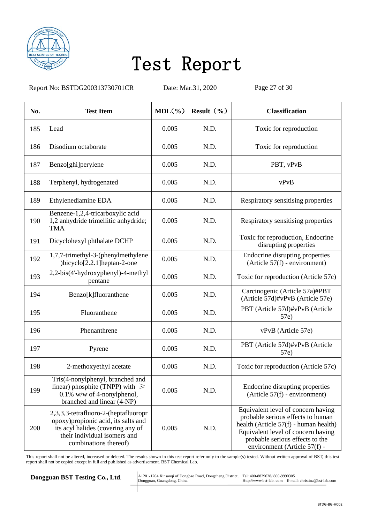

Report No: BSTDG200313730701CR Date: Mar.31, 2020 Page 27 of 30

| No. | <b>Test Item</b>                                                                                                                                                           | $MDL(\% )$ | Result $(\% )$ | <b>Classification</b>                                                                                                                                                                                                     |
|-----|----------------------------------------------------------------------------------------------------------------------------------------------------------------------------|------------|----------------|---------------------------------------------------------------------------------------------------------------------------------------------------------------------------------------------------------------------------|
| 185 | Lead                                                                                                                                                                       | 0.005      | N.D.           | Toxic for reproduction                                                                                                                                                                                                    |
| 186 | Disodium octaborate                                                                                                                                                        | 0.005      | N.D.           | Toxic for reproduction                                                                                                                                                                                                    |
| 187 | Benzo[ghi]perylene                                                                                                                                                         | 0.005      | N.D.           | PBT, vPvB                                                                                                                                                                                                                 |
| 188 | Terphenyl, hydrogenated                                                                                                                                                    | 0.005      | N.D.           | vPvB                                                                                                                                                                                                                      |
| 189 | Ethylenediamine EDA                                                                                                                                                        | 0.005      | N.D.           | Respiratory sensitising properties                                                                                                                                                                                        |
| 190 | Benzene-1,2,4-tricarboxylic acid<br>1,2 anhydride trimellitic anhydride;<br><b>TMA</b>                                                                                     | 0.005      | N.D.           | Respiratory sensitising properties                                                                                                                                                                                        |
| 191 | Dicyclohexyl phthalate DCHP                                                                                                                                                | 0.005      | N.D.           | Toxic for reproduction, Endocrine<br>disrupting properties                                                                                                                                                                |
| 192 | 1,7,7-trimethyl-3-(phenylmethylene<br>)bicyclo[2.2.1]heptan-2-one                                                                                                          | 0.005      | N.D.           | Endocrine disrupting properties<br>$(Article 57(f) - environment)$                                                                                                                                                        |
| 193 | 2,2-bis(4'-hydroxyphenyl)-4-methyl<br>pentane                                                                                                                              | 0.005      | N.D.           | Toxic for reproduction (Article 57c)                                                                                                                                                                                      |
| 194 | Benzo[k]fluoranthene                                                                                                                                                       | 0.005      | N.D.           | Carcinogenic (Article 57a)#PBT<br>(Article 57d)#vPvB (Article 57e)                                                                                                                                                        |
| 195 | Fluoranthene                                                                                                                                                               | 0.005      | N.D.           | PBT (Article 57d)#vPvB (Article<br>57e)                                                                                                                                                                                   |
| 196 | Phenanthrene                                                                                                                                                               | 0.005      | N.D.           | vPvB (Article 57e)                                                                                                                                                                                                        |
| 197 | Pyrene                                                                                                                                                                     | 0.005      | N.D.           | PBT (Article 57d)#vPvB (Article<br>57e)                                                                                                                                                                                   |
| 198 | 2-methoxyethyl acetate                                                                                                                                                     | 0.005      | N.D.           | Toxic for reproduction (Article 57c)                                                                                                                                                                                      |
| 199 | Tris(4-nonylphenyl, branched and<br>linear) phosphite (TNPP) with $\geq$<br>$0.1\%$ w/w of 4-nonylphenol,<br>branched and linear (4-NP)                                    | 0.005      | N.D.           | Endocrine disrupting properties<br>$(Article 57(f) - environment)$                                                                                                                                                        |
| 200 | 2,3,3,3-tetrafluoro-2-(heptafluoropr<br>opoxy) propionic acid, its salts and<br>its acyl halides (covering any of<br>their individual isomers and<br>combinations thereof) | 0.005      | N.D.           | Equivalent level of concern having<br>probable serious effects to human<br>health (Article 57(f) - human health)<br>Equivalent level of concern having<br>probable serious effects to the<br>environment (Article 57(f) - |

This report shall not be altered, increased or deleted. The results shown in this test report refer only to the sample(s) tested. Without written approval of BST, this test report shall not be copied except in full and published as advertisement. BST Chemical Lab.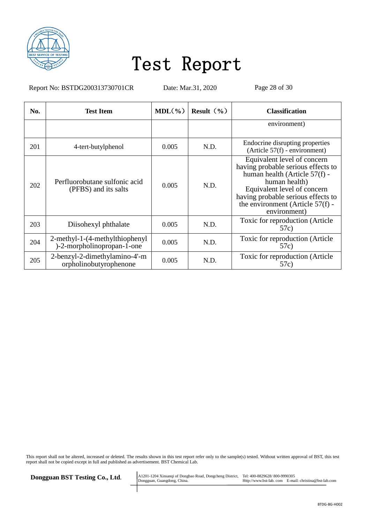

Report No: BSTDG200313730701CR Date: Mar.31, 2020 Page 28 of 30

| No. | <b>Test Item</b>                                             | $MDL(\frac{9}{6})$ | Result $(\frac{9}{6})$ | <b>Classification</b>                                                                                                                                                                                                                        |
|-----|--------------------------------------------------------------|--------------------|------------------------|----------------------------------------------------------------------------------------------------------------------------------------------------------------------------------------------------------------------------------------------|
|     |                                                              |                    |                        | environment)                                                                                                                                                                                                                                 |
| 201 | 4-tert-butylphenol                                           | 0.005              | N.D.                   | Endocrine disrupting properties<br>$(Article 57(f) - environment)$                                                                                                                                                                           |
| 202 | Perfluorobutane sulfonic acid<br>(PFBS) and its salts        | 0.005              | N.D.                   | Equivalent level of concern<br>having probable serious effects to<br>human health (Article 57(f) -<br>human health)<br>Equivalent level of concern<br>having probable serious effects to<br>the environment (Article 57(f) -<br>environment) |
| 203 | Diisohexyl phthalate                                         | 0.005              | N.D.                   | Toxic for reproduction (Article)<br>57c)                                                                                                                                                                                                     |
| 204 | 2-methyl-1-(4-methylthiophenyl<br>)-2-morpholinopropan-1-one | 0.005              | N.D.                   | Toxic for reproduction (Article<br>57c)                                                                                                                                                                                                      |
| 205 | 2-benzyl-2-dimethylamino-4'-m<br>orpholinobutyrophenone      | 0.005              | N.D.                   | Toxic for reproduction (Article<br>57c)                                                                                                                                                                                                      |

This report shall not be altered, increased or deleted. The results shown in this test report refer only to the sample(s) tested. Without written approval of BST, this test report shall not be copied except in full and published as advertisement. BST Chemical Lab.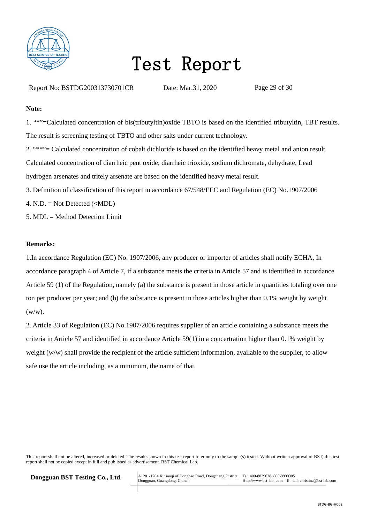

Report No: BSTDG200313730701CR Date: Mar.31, 2020 Page 29 of 30

#### **Note:**

1. "\*"=Calculated concentration of bis(tributyltin)oxide TBTO is based on the identified tributyltin, TBT results. The result is screening testing of TBTO and other salts under current technology. 2. "\*\*"= Calculated concentration of cobalt dichloride is based on the identified heavy metal and anion result. Calculated concentration of diarrheic pent oxide, diarrheic trioxide, sodium dichromate, dehydrate, Lead

hydrogen arsenates and tritely arsenate are based on the identified heavy metal result.

- 3. Definition of classification of this report in accordance 67/548/EEC and Regulation (EC) No.1907/2006
- 4. N.D.  $=$  Not Detected  $(\langle MDL \rangle)$
- 5. MDL = Method Detection Limit

#### **Remarks:**

1.In accordance Regulation (EC) No. 1907/2006, any producer or importer of articles shall notify ECHA, In accordance paragraph 4 of Article 7, if a substance meets the criteria in Article 57 and is identified in accordance Article 59 (1) of the Regulation, namely (a) the substance is present in those article in quantities totaling over one ton per producer per year; and (b) the substance is present in those articles higher than 0.1% weight by weight  $(w/w)$ .

2. Article 33 of Regulation (EC) No.1907/2006 requires supplier of an article containing a substance meets the criteria in Article 57 and identified in accordance Article 59(1) in a concertration higher than 0.1% weight by weight (w/w) shall provide the recipient of the article sufficient information, available to the supplier, to allow safe use the article including, as a minimum, the name of that.

This report shall not be altered, increased or deleted. The results shown in this test report refer only to the sample(s) tested. Without written approval of BST, this test report shall not be copied except in full and published as advertisement. BST Chemical Lab.